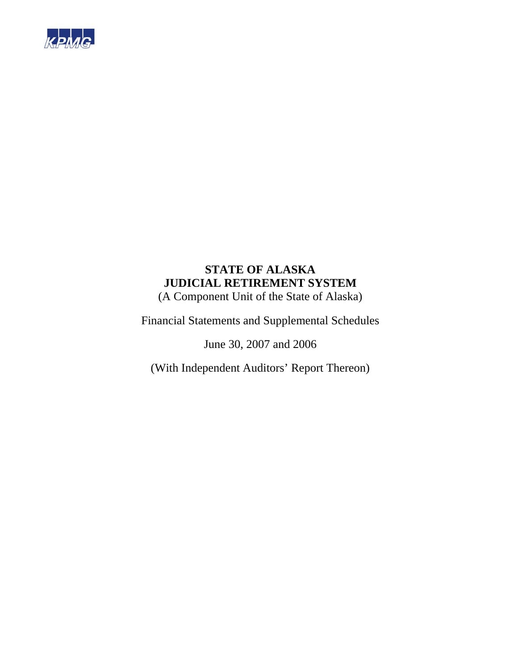

(A Component Unit of the State of Alaska)

Financial Statements and Supplemental Schedules

June 30, 2007 and 2006

(With Independent Auditors' Report Thereon)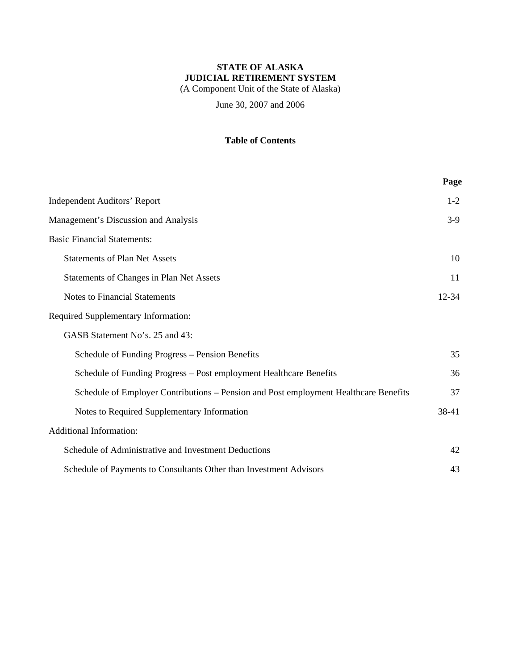(A Component Unit of the State of Alaska)

June 30, 2007 and 2006

# **Table of Contents**

|                                                                                      | Page  |
|--------------------------------------------------------------------------------------|-------|
| <b>Independent Auditors' Report</b>                                                  | $1-2$ |
| Management's Discussion and Analysis                                                 | $3-9$ |
| <b>Basic Financial Statements:</b>                                                   |       |
| <b>Statements of Plan Net Assets</b>                                                 | 10    |
| Statements of Changes in Plan Net Assets                                             | 11    |
| <b>Notes to Financial Statements</b>                                                 | 12-34 |
| Required Supplementary Information:                                                  |       |
| GASB Statement No's. 25 and 43:                                                      |       |
| Schedule of Funding Progress - Pension Benefits                                      | 35    |
| Schedule of Funding Progress - Post employment Healthcare Benefits                   | 36    |
| Schedule of Employer Contributions - Pension and Post employment Healthcare Benefits | 37    |
| Notes to Required Supplementary Information                                          | 38-41 |
| <b>Additional Information:</b>                                                       |       |
| Schedule of Administrative and Investment Deductions                                 | 42    |
| Schedule of Payments to Consultants Other than Investment Advisors                   | 43    |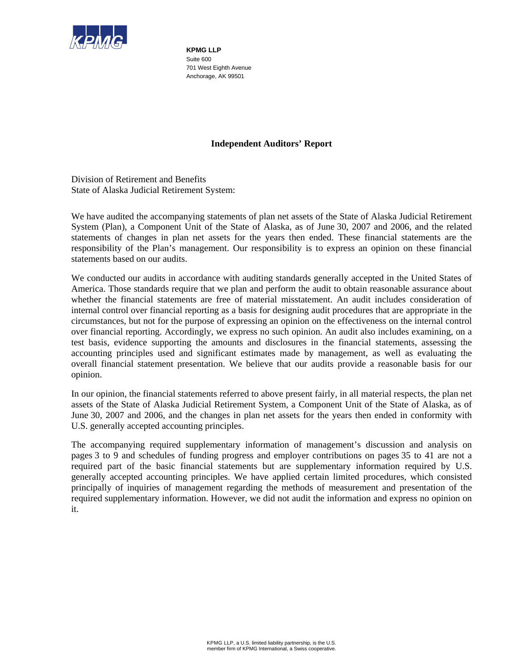

**KPMG LLP**  Suite 600 701 West Eighth Avenue Anchorage, AK 99501

## **Independent Auditors' Report**

Division of Retirement and Benefits State of Alaska Judicial Retirement System:

We have audited the accompanying statements of plan net assets of the State of Alaska Judicial Retirement System (Plan), a Component Unit of the State of Alaska, as of June 30, 2007 and 2006, and the related statements of changes in plan net assets for the years then ended. These financial statements are the responsibility of the Plan's management. Our responsibility is to express an opinion on these financial statements based on our audits.

We conducted our audits in accordance with auditing standards generally accepted in the United States of America. Those standards require that we plan and perform the audit to obtain reasonable assurance about whether the financial statements are free of material misstatement. An audit includes consideration of internal control over financial reporting as a basis for designing audit procedures that are appropriate in the circumstances, but not for the purpose of expressing an opinion on the effectiveness on the internal control over financial reporting. Accordingly, we express no such opinion. An audit also includes examining, on a test basis, evidence supporting the amounts and disclosures in the financial statements, assessing the accounting principles used and significant estimates made by management, as well as evaluating the overall financial statement presentation. We believe that our audits provide a reasonable basis for our opinion.

In our opinion, the financial statements referred to above present fairly, in all material respects, the plan net assets of the State of Alaska Judicial Retirement System, a Component Unit of the State of Alaska, as of June 30, 2007 and 2006, and the changes in plan net assets for the years then ended in conformity with U.S. generally accepted accounting principles.

The accompanying required supplementary information of management's discussion and analysis on pages 3 to 9 and schedules of funding progress and employer contributions on pages 35 to 41 are not a required part of the basic financial statements but are supplementary information required by U.S. generally accepted accounting principles. We have applied certain limited procedures, which consisted principally of inquiries of management regarding the methods of measurement and presentation of the required supplementary information. However, we did not audit the information and express no opinion on it.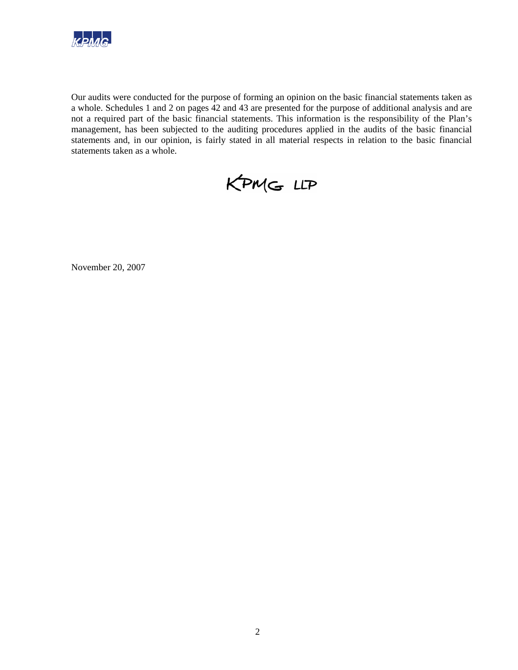

Our audits were conducted for the purpose of forming an opinion on the basic financial statements taken as a whole. Schedules 1 and 2 on pages 42 and 43 are presented for the purpose of additional analysis and are not a required part of the basic financial statements. This information is the responsibility of the Plan's management, has been subjected to the auditing procedures applied in the audits of the basic financial statements and, in our opinion, is fairly stated in all material respects in relation to the basic financial statements taken as a whole.



November 20, 2007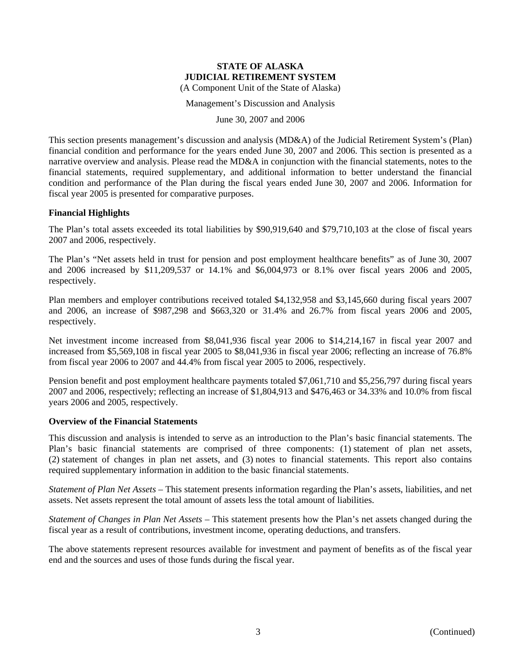(A Component Unit of the State of Alaska)

Management's Discussion and Analysis

June 30, 2007 and 2006

This section presents management's discussion and analysis (MD&A) of the Judicial Retirement System's (Plan) financial condition and performance for the years ended June 30, 2007 and 2006. This section is presented as a narrative overview and analysis. Please read the MD&A in conjunction with the financial statements, notes to the financial statements, required supplementary, and additional information to better understand the financial condition and performance of the Plan during the fiscal years ended June 30, 2007 and 2006. Information for fiscal year 2005 is presented for comparative purposes.

## **Financial Highlights**

The Plan's total assets exceeded its total liabilities by \$90,919,640 and \$79,710,103 at the close of fiscal years 2007 and 2006, respectively.

The Plan's "Net assets held in trust for pension and post employment healthcare benefits" as of June 30, 2007 and 2006 increased by \$11,209,537 or 14.1% and \$6,004,973 or 8.1% over fiscal years 2006 and 2005, respectively.

Plan members and employer contributions received totaled \$4,132,958 and \$3,145,660 during fiscal years 2007 and 2006, an increase of \$987,298 and \$663,320 or 31.4% and 26.7% from fiscal years 2006 and 2005, respectively.

Net investment income increased from \$8,041,936 fiscal year 2006 to \$14,214,167 in fiscal year 2007 and increased from \$5,569,108 in fiscal year 2005 to \$8,041,936 in fiscal year 2006; reflecting an increase of 76.8% from fiscal year 2006 to 2007 and 44.4% from fiscal year 2005 to 2006, respectively.

Pension benefit and post employment healthcare payments totaled \$7,061,710 and \$5,256,797 during fiscal years 2007 and 2006, respectively; reflecting an increase of \$1,804,913 and \$476,463 or 34.33% and 10.0% from fiscal years 2006 and 2005, respectively.

#### **Overview of the Financial Statements**

This discussion and analysis is intended to serve as an introduction to the Plan's basic financial statements. The Plan's basic financial statements are comprised of three components: (1) statement of plan net assets, (2) statement of changes in plan net assets, and (3) notes to financial statements. This report also contains required supplementary information in addition to the basic financial statements.

*Statement of Plan Net Assets* – This statement presents information regarding the Plan's assets, liabilities, and net assets. Net assets represent the total amount of assets less the total amount of liabilities.

*Statement of Changes in Plan Net Assets* – This statement presents how the Plan's net assets changed during the fiscal year as a result of contributions, investment income, operating deductions, and transfers.

The above statements represent resources available for investment and payment of benefits as of the fiscal year end and the sources and uses of those funds during the fiscal year.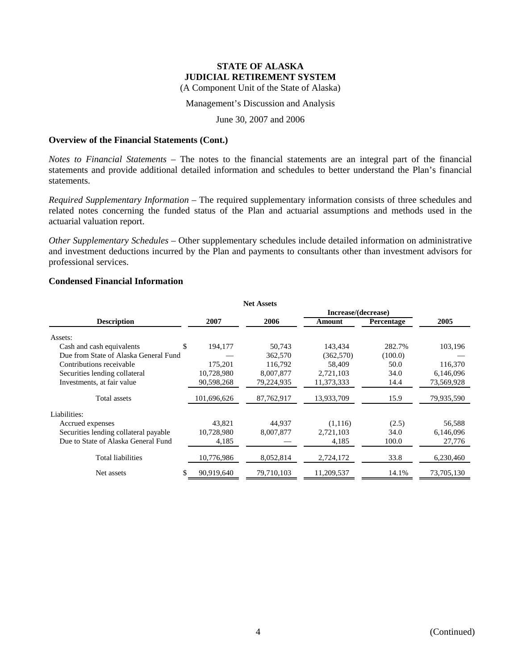(A Component Unit of the State of Alaska)

Management's Discussion and Analysis

June 30, 2007 and 2006

#### **Overview of the Financial Statements (Cont.)**

*Notes to Financial Statements* – The notes to the financial statements are an integral part of the financial statements and provide additional detailed information and schedules to better understand the Plan's financial statements.

*Required Supplementary Information* – The required supplementary information consists of three schedules and related notes concerning the funded status of the Plan and actuarial assumptions and methods used in the actuarial valuation report.

*Other Supplementary Schedules* – Other supplementary schedules include detailed information on administrative and investment deductions incurred by the Plan and payments to consultants other than investment advisors for professional services.

## **Condensed Financial Information**

|                                       |             | <b>Net Assets</b> |                     |            |            |
|---------------------------------------|-------------|-------------------|---------------------|------------|------------|
|                                       |             |                   | Increase/(decrease) |            |            |
| <b>Description</b>                    | 2007        | 2006              | Amount              | Percentage | 2005       |
| Assets:                               |             |                   |                     |            |            |
| \$<br>Cash and cash equivalents       | 194,177     | 50,743            | 143,434             | 282.7%     | 103,196    |
| Due from State of Alaska General Fund |             | 362,570           | (362, 570)          | (100.0)    |            |
| Contributions receivable              | 175,201     | 116,792           | 58,409              | 50.0       | 116,370    |
| Securities lending collateral         | 10,728,980  | 8,007,877         | 2,721,103           | 34.0       | 6,146,096  |
| Investments, at fair value            | 90,598,268  | 79,224,935        | 11,373,333          | 14.4       | 73,569,928 |
| Total assets                          | 101,696,626 | 87,762,917        | 13,933,709          | 15.9       | 79,935,590 |
| Liabilities:                          |             |                   |                     |            |            |
| Accrued expenses                      | 43,821      | 44,937            | (1,116)             | (2.5)      | 56,588     |
| Securities lending collateral payable | 10,728,980  | 8,007,877         | 2,721,103           | 34.0       | 6,146,096  |
| Due to State of Alaska General Fund   | 4,185       |                   | 4,185               | 100.0      | 27,776     |
| <b>Total liabilities</b>              | 10,776,986  | 8,052,814         | 2,724,172           | 33.8       | 6,230,460  |
| \$.<br>Net assets                     | 90,919,640  | 79,710,103        | 11,209,537          | 14.1%      | 73,705,130 |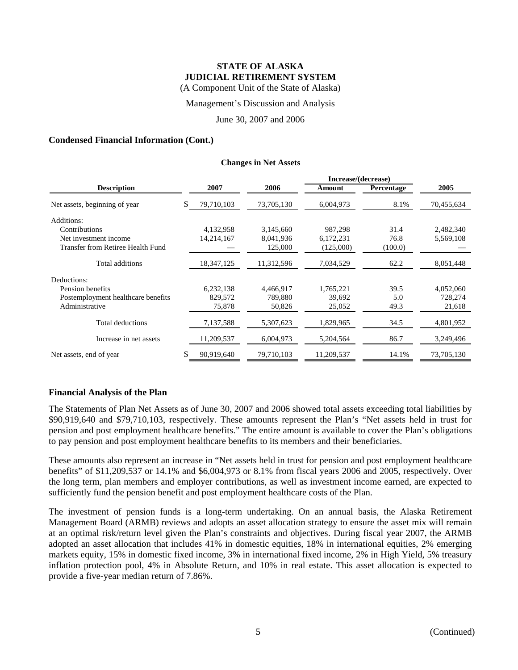(A Component Unit of the State of Alaska)

Management's Discussion and Analysis

June 30, 2007 and 2006

#### **Condensed Financial Information (Cont.)**

#### **Changes in Net Assets**

|                                    |    |              |            | Increase/(decrease) |            |            |
|------------------------------------|----|--------------|------------|---------------------|------------|------------|
| <b>Description</b>                 |    | 2007         | 2006       | Amount              | Percentage | 2005       |
| Net assets, beginning of year      | \$ | 79,710,103   | 73,705,130 | 6,004,973           | 8.1%       | 70,455,634 |
| Additions:                         |    |              |            |                     |            |            |
| Contributions                      |    | 4,132,958    | 3,145,660  | 987.298             | 31.4       | 2,482,340  |
| Net investment income              |    | 14,214,167   | 8,041,936  | 6,172,231           | 76.8       | 5,569,108  |
| Transfer from Retiree Health Fund  |    |              | 125,000    | (125,000)           | (100.0)    |            |
| Total additions                    |    | 18, 347, 125 | 11,312,596 | 7,034,529           | 62.2       | 8,051,448  |
| Deductions:                        |    |              |            |                     |            |            |
| Pension benefits                   |    | 6,232,138    | 4,466,917  | 1,765,221           | 39.5       | 4,052,060  |
| Postemployment healthcare benefits |    | 829,572      | 789,880    | 39,692              | 5.0        | 728,274    |
| Administrative                     |    | 75,878       | 50,826     | 25,052              | 49.3       | 21,618     |
| Total deductions                   |    | 7,137,588    | 5,307,623  | 1,829,965           | 34.5       | 4,801,952  |
| Increase in net assets             |    | 11,209,537   | 6,004,973  | 5,204,564           | 86.7       | 3,249,496  |
| Net assets, end of year            | S  | 90,919,640   | 79,710,103 | 11,209,537          | 14.1%      | 73.705.130 |

#### **Financial Analysis of the Plan**

The Statements of Plan Net Assets as of June 30, 2007 and 2006 showed total assets exceeding total liabilities by \$90,919,640 and \$79,710,103, respectively. These amounts represent the Plan's "Net assets held in trust for pension and post employment healthcare benefits." The entire amount is available to cover the Plan's obligations to pay pension and post employment healthcare benefits to its members and their beneficiaries.

These amounts also represent an increase in "Net assets held in trust for pension and post employment healthcare benefits" of \$11,209,537 or 14.1% and \$6,004,973 or 8.1% from fiscal years 2006 and 2005, respectively. Over the long term, plan members and employer contributions, as well as investment income earned, are expected to sufficiently fund the pension benefit and post employment healthcare costs of the Plan.

The investment of pension funds is a long-term undertaking. On an annual basis, the Alaska Retirement Management Board (ARMB) reviews and adopts an asset allocation strategy to ensure the asset mix will remain at an optimal risk/return level given the Plan's constraints and objectives. During fiscal year 2007, the ARMB adopted an asset allocation that includes 41% in domestic equities, 18% in international equities, 2% emerging markets equity, 15% in domestic fixed income, 3% in international fixed income, 2% in High Yield, 5% treasury inflation protection pool, 4% in Absolute Return, and 10% in real estate. This asset allocation is expected to provide a five-year median return of 7.86%.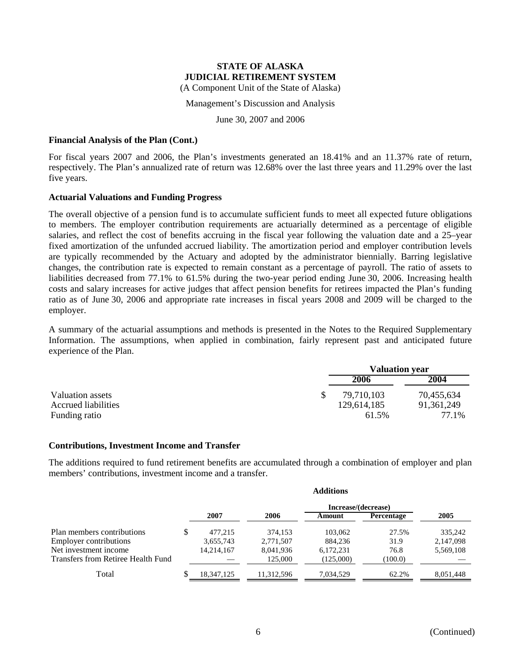(A Component Unit of the State of Alaska)

Management's Discussion and Analysis

June 30, 2007 and 2006

#### **Financial Analysis of the Plan (Cont.)**

For fiscal years 2007 and 2006, the Plan's investments generated an 18.41% and an 11.37% rate of return, respectively. The Plan's annualized rate of return was 12.68% over the last three years and 11.29% over the last five years.

## **Actuarial Valuations and Funding Progress**

The overall objective of a pension fund is to accumulate sufficient funds to meet all expected future obligations to members. The employer contribution requirements are actuarially determined as a percentage of eligible salaries, and reflect the cost of benefits accruing in the fiscal year following the valuation date and a 25–year fixed amortization of the unfunded accrued liability. The amortization period and employer contribution levels are typically recommended by the Actuary and adopted by the administrator biennially. Barring legislative changes, the contribution rate is expected to remain constant as a percentage of payroll. The ratio of assets to liabilities decreased from 77.1% to 61.5% during the two-year period ending June 30, 2006. Increasing health costs and salary increases for active judges that affect pension benefits for retirees impacted the Plan's funding ratio as of June 30, 2006 and appropriate rate increases in fiscal years 2008 and 2009 will be charged to the employer.

A summary of the actuarial assumptions and methods is presented in the Notes to the Required Supplementary Information. The assumptions, when applied in combination, fairly represent past and anticipated future experience of the Plan.

|                     | <b>Valuation year</b> |              |
|---------------------|-----------------------|--------------|
|                     | 2006                  | 2004         |
| Valuation assets    | 79,710,103            | 70,455,634   |
| Accrued liabilities | 129,614,185           | 91, 361, 249 |
| Funding ratio       | 61.5%                 | 77.1%        |

#### **Contributions, Investment Income and Transfer**

The additions required to fund retirement benefits are accumulated through a combination of employer and plan members' contributions, investment income and a transfer.

**Additions**

|                                    | Auditions |            |            |                     |            |           |  |  |  |
|------------------------------------|-----------|------------|------------|---------------------|------------|-----------|--|--|--|
|                                    |           |            |            | Increase/(decrease) |            |           |  |  |  |
|                                    |           | 2007       | 2006       | Amount              | Percentage | 2005      |  |  |  |
| Plan members contributions         |           | 477,215    | 374.153    | 103,062             | 27.5%      | 335,242   |  |  |  |
| <b>Employer contributions</b>      |           | 3,655,743  | 2,771,507  | 884,236             | 31.9       | 2,147,098 |  |  |  |
| Net investment income              |           | 14.214.167 | 8,041,936  | 6,172,231           | 76.8       | 5,569,108 |  |  |  |
| Transfers from Retiree Health Fund |           |            | 125,000    | (125,000)           | (100.0)    |           |  |  |  |
| Total                              |           | 18.347.125 | 11.312.596 | 7.034.529           | 62.2%      | 8.051.448 |  |  |  |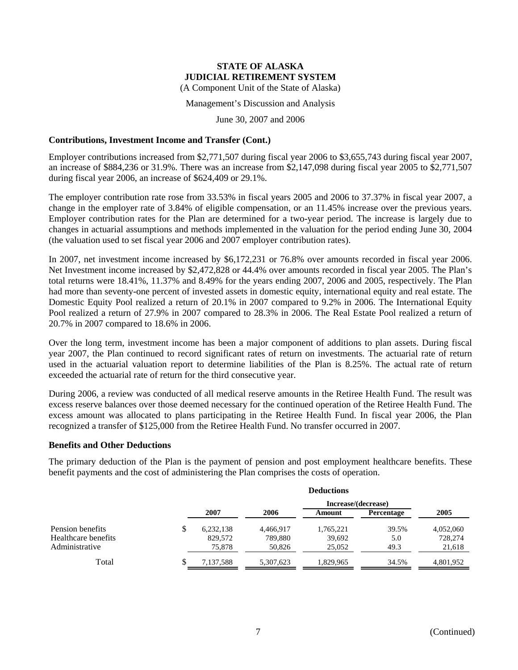(A Component Unit of the State of Alaska)

Management's Discussion and Analysis

June 30, 2007 and 2006

## **Contributions, Investment Income and Transfer (Cont.)**

Employer contributions increased from \$2,771,507 during fiscal year 2006 to \$3,655,743 during fiscal year 2007, an increase of \$884,236 or 31.9%. There was an increase from \$2,147,098 during fiscal year 2005 to \$2,771,507 during fiscal year 2006, an increase of \$624,409 or 29.1%.

The employer contribution rate rose from 33.53% in fiscal years 2005 and 2006 to 37.37% in fiscal year 2007, a change in the employer rate of 3.84% of eligible compensation, or an 11.45% increase over the previous years. Employer contribution rates for the Plan are determined for a two-year period. The increase is largely due to changes in actuarial assumptions and methods implemented in the valuation for the period ending June 30, 2004 (the valuation used to set fiscal year 2006 and 2007 employer contribution rates).

In 2007, net investment income increased by \$6,172,231 or 76.8% over amounts recorded in fiscal year 2006. Net Investment income increased by \$2,472,828 or 44.4% over amounts recorded in fiscal year 2005. The Plan's total returns were 18.41%, 11.37% and 8.49% for the years ending 2007, 2006 and 2005, respectively. The Plan had more than seventy-one percent of invested assets in domestic equity, international equity and real estate. The Domestic Equity Pool realized a return of 20.1% in 2007 compared to 9.2% in 2006. The International Equity Pool realized a return of 27.9% in 2007 compared to 28.3% in 2006. The Real Estate Pool realized a return of 20.7% in 2007 compared to 18.6% in 2006.

Over the long term, investment income has been a major component of additions to plan assets. During fiscal year 2007, the Plan continued to record significant rates of return on investments. The actuarial rate of return used in the actuarial valuation report to determine liabilities of the Plan is 8.25%. The actual rate of return exceeded the actuarial rate of return for the third consecutive year.

During 2006, a review was conducted of all medical reserve amounts in the Retiree Health Fund. The result was excess reserve balances over those deemed necessary for the continued operation of the Retiree Health Fund. The excess amount was allocated to plans participating in the Retiree Health Fund. In fiscal year 2006, the Plan recognized a transfer of \$125,000 from the Retiree Health Fund. No transfer occurred in 2007.

## **Benefits and Other Deductions**

The primary deduction of the Plan is the payment of pension and post employment healthcare benefits. These benefit payments and the cost of administering the Plan comprises the costs of operation.

|                                         | <b>Deductions</b> |                      |                      |                     |              |                      |  |  |  |  |
|-----------------------------------------|-------------------|----------------------|----------------------|---------------------|--------------|----------------------|--|--|--|--|
|                                         |                   | Increase/(decrease)  |                      |                     |              |                      |  |  |  |  |
|                                         |                   | 2007                 | 2006                 | Amount              | Percentage   | 2005                 |  |  |  |  |
| Pension benefits<br>Healthcare benefits | \$                | 6,232,138<br>829,572 | 4,466,917<br>789,880 | 1,765,221<br>39,692 | 39.5%<br>5.0 | 4,052,060<br>728,274 |  |  |  |  |
| Administrative                          |                   | 75,878               | 50,826               | 25,052              | 49.3         | 21,618               |  |  |  |  |
| Total                                   |                   | 7,137,588            | 5.307.623            | 1.829.965           | 34.5%        | 4.801.952            |  |  |  |  |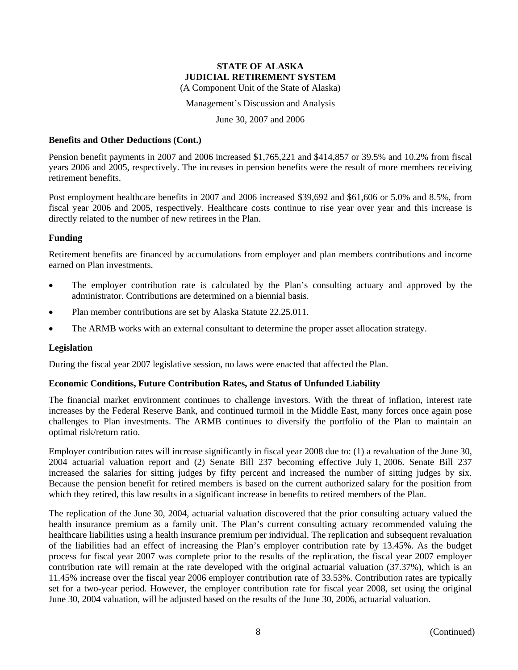(A Component Unit of the State of Alaska)

Management's Discussion and Analysis

June 30, 2007 and 2006

#### **Benefits and Other Deductions (Cont.)**

Pension benefit payments in 2007 and 2006 increased \$1,765,221 and \$414,857 or 39.5% and 10.2% from fiscal years 2006 and 2005, respectively. The increases in pension benefits were the result of more members receiving retirement benefits.

Post employment healthcare benefits in 2007 and 2006 increased \$39,692 and \$61,606 or 5.0% and 8.5%, from fiscal year 2006 and 2005, respectively. Healthcare costs continue to rise year over year and this increase is directly related to the number of new retirees in the Plan.

## **Funding**

Retirement benefits are financed by accumulations from employer and plan members contributions and income earned on Plan investments.

- The employer contribution rate is calculated by the Plan's consulting actuary and approved by the administrator. Contributions are determined on a biennial basis.
- Plan member contributions are set by Alaska Statute 22.25.011.
- The ARMB works with an external consultant to determine the proper asset allocation strategy.

#### **Legislation**

During the fiscal year 2007 legislative session, no laws were enacted that affected the Plan.

## **Economic Conditions, Future Contribution Rates, and Status of Unfunded Liability**

The financial market environment continues to challenge investors. With the threat of inflation, interest rate increases by the Federal Reserve Bank, and continued turmoil in the Middle East, many forces once again pose challenges to Plan investments. The ARMB continues to diversify the portfolio of the Plan to maintain an optimal risk/return ratio.

Employer contribution rates will increase significantly in fiscal year 2008 due to: (1) a revaluation of the June 30, 2004 actuarial valuation report and (2) Senate Bill 237 becoming effective July 1, 2006. Senate Bill 237 increased the salaries for sitting judges by fifty percent and increased the number of sitting judges by six. Because the pension benefit for retired members is based on the current authorized salary for the position from which they retired, this law results in a significant increase in benefits to retired members of the Plan.

The replication of the June 30, 2004, actuarial valuation discovered that the prior consulting actuary valued the health insurance premium as a family unit. The Plan's current consulting actuary recommended valuing the healthcare liabilities using a health insurance premium per individual. The replication and subsequent revaluation of the liabilities had an effect of increasing the Plan's employer contribution rate by 13.45%. As the budget process for fiscal year 2007 was complete prior to the results of the replication, the fiscal year 2007 employer contribution rate will remain at the rate developed with the original actuarial valuation (37.37%), which is an 11.45% increase over the fiscal year 2006 employer contribution rate of 33.53%. Contribution rates are typically set for a two-year period. However, the employer contribution rate for fiscal year 2008, set using the original June 30, 2004 valuation, will be adjusted based on the results of the June 30, 2006, actuarial valuation.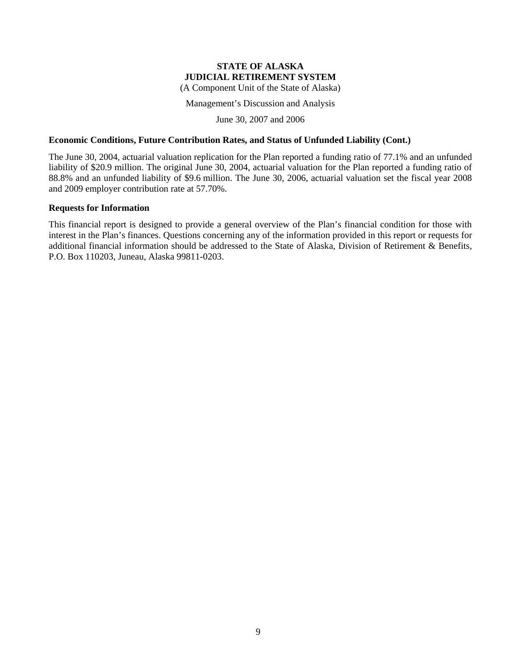(A Component Unit of the State of Alaska)

Management's Discussion and Analysis

June 30, 2007 and 2006

## **Economic Conditions, Future Contribution Rates, and Status of Unfunded Liability (Cont.)**

The June 30, 2004, actuarial valuation replication for the Plan reported a funding ratio of 77.1% and an unfunded liability of \$20.9 million. The original June 30, 2004, actuarial valuation for the Plan reported a funding ratio of 88.8% and an unfunded liability of \$9.6 million. The June 30, 2006, actuarial valuation set the fiscal year 2008 and 2009 employer contribution rate at 57.70%.

## **Requests for Information**

This financial report is designed to provide a general overview of the Plan's financial condition for those with interest in the Plan's finances. Questions concerning any of the information provided in this report or requests for additional financial information should be addressed to the State of Alaska, Division of Retirement & Benefits, P.O. Box 110203, Juneau, Alaska 99811-0203.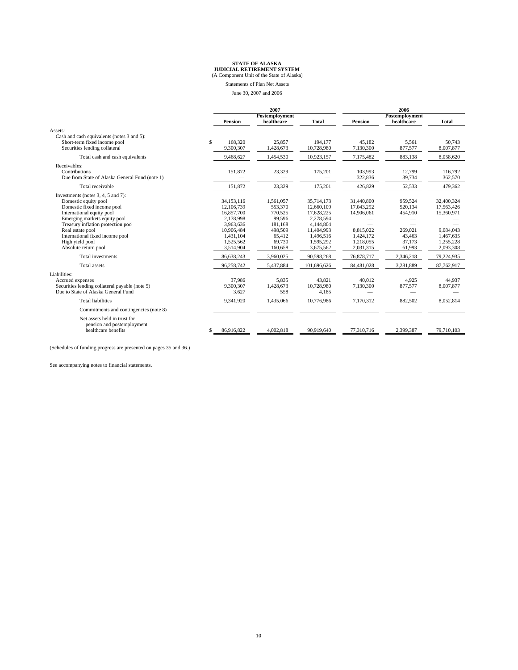Statements of Plan Net Assets June 30, 2007 and 2006

|                                                                                                                                                                                                                                                                                               |              | 2007                                                                                                                  |                                                                                                | 2006                                                                                                                  |                                                                                            |                                                                        |                                                                                            |
|-----------------------------------------------------------------------------------------------------------------------------------------------------------------------------------------------------------------------------------------------------------------------------------------------|--------------|-----------------------------------------------------------------------------------------------------------------------|------------------------------------------------------------------------------------------------|-----------------------------------------------------------------------------------------------------------------------|--------------------------------------------------------------------------------------------|------------------------------------------------------------------------|--------------------------------------------------------------------------------------------|
|                                                                                                                                                                                                                                                                                               |              | Postemployment                                                                                                        |                                                                                                |                                                                                                                       | Postemployment                                                                             |                                                                        |                                                                                            |
|                                                                                                                                                                                                                                                                                               |              | <b>Pension</b>                                                                                                        | healthcare                                                                                     | Total                                                                                                                 | <b>Pension</b>                                                                             | healthcare                                                             | <b>Total</b>                                                                               |
| Assets:<br>Cash and cash equivalents (notes 3 and 5):<br>Short-term fixed income pool<br>Securities lending collateral                                                                                                                                                                        | $\mathsf{s}$ | 168,320<br>9,300,307                                                                                                  | 25.857<br>1,428,673                                                                            | 194.177<br>10,728,980                                                                                                 | 45.182<br>7,130,300                                                                        | 5,561<br>877,577                                                       | 50.743<br>8,007,877                                                                        |
| Total cash and cash equivalents                                                                                                                                                                                                                                                               |              | 9,468,627                                                                                                             | 1,454,530                                                                                      | 10,923,157                                                                                                            | 7,175,482                                                                                  | 883.138                                                                | 8,058,620                                                                                  |
| Receivables:<br>Contributions<br>Due from State of Alaska General Fund (note 1)                                                                                                                                                                                                               |              | 151.872                                                                                                               | 23,329                                                                                         | 175,201                                                                                                               | 103.993<br>322,836                                                                         | 12.799<br>39,734                                                       | 116.792<br>362,570                                                                         |
| Total receivable                                                                                                                                                                                                                                                                              |              | 151,872                                                                                                               | 23,329                                                                                         | 175,201                                                                                                               | 426,829                                                                                    | 52,533                                                                 | 479,362                                                                                    |
| Investments (notes 3, 4, 5 and 7):<br>Domestic equity pool<br>Domestic fixed income pool<br>International equity pool<br>Emerging markets equity pool<br>Treasury inflation protection pool<br>Real estate pool<br>International fixed income pool<br>High yield pool<br>Absolute return pool |              | 34,153,116<br>12,106,739<br>16,857,700<br>2.178.998<br>3.963.636<br>10,906,484<br>1,431,104<br>1,525,562<br>3,514,904 | 1.561.057<br>553,370<br>770,525<br>99.596<br>181.168<br>498,509<br>65,412<br>69.730<br>160,658 | 35,714,173<br>12,660,109<br>17,628,225<br>2.278.594<br>4,144,804<br>11,404,993<br>1,496,516<br>1.595.292<br>3,675,562 | 31,440,800<br>17,043,292<br>14,906,061<br>8.815.022<br>1,424,172<br>1.218.055<br>2,031,315 | 959.524<br>520,134<br>454,910<br>269,021<br>43,463<br>37.173<br>61,993 | 32,400,324<br>17,563,426<br>15,360,971<br>9,084,043<br>1,467,635<br>1.255.228<br>2,093,308 |
| Total investments                                                                                                                                                                                                                                                                             |              | 86,638,243                                                                                                            | 3,960,025                                                                                      | 90.598.268                                                                                                            | 76,878,717                                                                                 | 2,346,218                                                              | 79,224,935                                                                                 |
| Total assets                                                                                                                                                                                                                                                                                  |              | 96,258,742                                                                                                            | 5,437,884                                                                                      | 101,696,626                                                                                                           | 84,481,028                                                                                 | 3,281,889                                                              | 87,762,917                                                                                 |
| Liabilities:<br>Accrued expenses<br>Securities lending collateral payable (note 5)<br>Due to State of Alaska General Fund                                                                                                                                                                     |              | 37,986<br>9,300,307<br>3,627                                                                                          | 5.835<br>1,428,673<br>558                                                                      | 43.821<br>10,728,980<br>4,185                                                                                         | 40,012<br>7,130,300                                                                        | 4.925<br>877,577                                                       | 44.937<br>8,007,877                                                                        |
| <b>Total liabilities</b>                                                                                                                                                                                                                                                                      |              | 9,341,920                                                                                                             | 1,435,066                                                                                      | 10,776,986                                                                                                            | 7,170,312                                                                                  | 882,502                                                                | 8,052,814                                                                                  |
| Commitments and contingencies (note 8)                                                                                                                                                                                                                                                        |              |                                                                                                                       |                                                                                                |                                                                                                                       |                                                                                            |                                                                        |                                                                                            |
| Net assets held in trust for<br>pension and postemployment<br>healthcare benefits                                                                                                                                                                                                             |              | 86.916.822                                                                                                            | 4.002.818                                                                                      | 90.919.640                                                                                                            | 77.310.716                                                                                 | 2.399.387                                                              | 79.710.103                                                                                 |

(Schedules of funding progress are presented on pages 35 and 36.)

See accompanying notes to financial statements.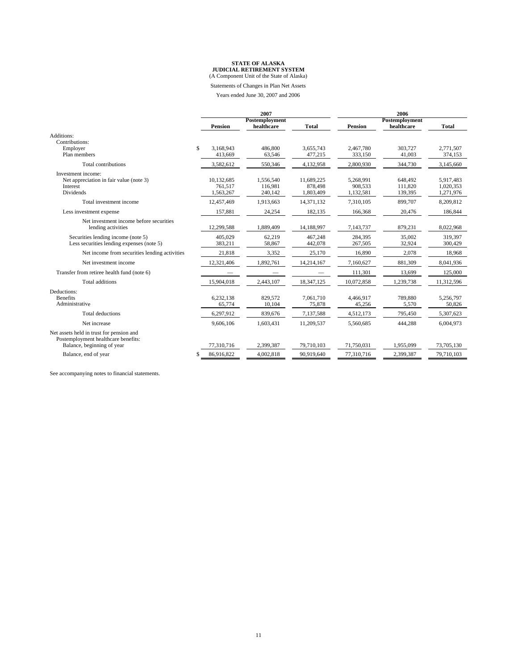Statements of Changes in Plan Net Assets

Years ended June 30, 2007 and 2006

|                                               |    | 2007                 |                   | 2006                 |                      |                   |                      |
|-----------------------------------------------|----|----------------------|-------------------|----------------------|----------------------|-------------------|----------------------|
|                                               |    |                      | Postemployment    |                      |                      | Postemployment    |                      |
|                                               |    | <b>Pension</b>       | healthcare        | <b>Total</b>         | <b>Pension</b>       | healthcare        | <b>Total</b>         |
| Additions:                                    |    |                      |                   |                      |                      |                   |                      |
| Contributions:                                |    |                      |                   |                      |                      |                   |                      |
| Employer<br>Plan members                      | \$ | 3.168.943<br>413.669 | 486,800<br>63.546 | 3.655.743<br>477,215 | 2.467.780<br>333,150 | 303.727<br>41,003 | 2.771.507<br>374,153 |
|                                               |    |                      |                   |                      |                      |                   |                      |
| Total contributions                           |    | 3,582,612            | 550,346           | 4,132,958            | 2,800,930            | 344,730           | 3,145,660            |
| Investment income:                            |    |                      |                   |                      |                      |                   |                      |
| Net appreciation in fair value (note 3)       |    | 10.132.685           | 1.556.540         | 11,689,225           | 5,268,991            | 648.492           | 5,917,483            |
| Interest                                      |    | 761.517              | 116,981           | 878,498              | 908.533              | 111,820           | 1,020,353            |
| Dividends                                     |    | 1,563,267            | 240,142           | 1,803,409            | 1,132,581            | 139,395           | 1,271,976            |
| Total investment income                       |    | 12,457,469           | 1,913,663         | 14,371,132           | 7,310,105            | 899,707           | 8,209,812            |
| Less investment expense                       |    | 157,881              | 24,254            | 182,135              | 166,368              | 20,476            | 186,844              |
| Net investment income before securities       |    |                      |                   |                      |                      |                   |                      |
| lending activities                            |    | 12,299,588           | 1,889,409         | 14,188,997           | 7,143,737            | 879,231           | 8,022,968            |
| Securities lending income (note 5)            |    | 405.029              | 62.219            | 467.248              | 284.395              | 35,002            | 319.397              |
| Less securities lending expenses (note 5)     |    | 383,211              | 58,867            | 442,078              | 267,505              | 32,924            | 300,429              |
| Net income from securities lending activities |    | 21,818               | 3,352             | 25,170               | 16.890               | 2,078             | 18,968               |
| Net investment income                         |    | 12,321,406           | 1,892,761         | 14,214,167           | 7,160,627            | 881,309           | 8,041,936            |
| Transfer from retiree health fund (note 6)    |    |                      |                   |                      | 111,301              | 13,699            | 125,000              |
| <b>Total additions</b>                        |    | 15,904,018           | 2,443,107         | 18,347,125           | 10,072,858           | 1,239,738         | 11,312,596           |
| Deductions:                                   |    |                      |                   |                      |                      |                   |                      |
| <b>Benefits</b>                               |    | 6,232,138            | 829,572           | 7,061,710            | 4,466,917            | 789,880           | 5,256,797            |
| Administrative                                |    | 65,774               | 10,104            | 75,878               | 45,256               | 5,570             | 50,826               |
| <b>Total deductions</b>                       |    | 6,297,912            | 839,676           | 7,137,588            | 4,512,173            | 795,450           | 5,307,623            |
| Net increase                                  |    | 9,606,106            | 1,603,431         | 11,209,537           | 5,560,685            | 444,288           | 6,004,973            |
| Net assets held in trust for pension and      |    |                      |                   |                      |                      |                   |                      |
| Postemployment healthcare benefits:           |    |                      |                   |                      |                      |                   |                      |
| Balance, beginning of year                    |    | 77,310,716           | 2,399,387         | 79,710,103           | 71,750,031           | 1,955,099         | 73,705,130           |
| Balance, end of year                          | S  | 86,916,822           | 4,002,818         | 90,919,640           | 77,310,716           | 2,399,387         | 79,710,103           |

See accompanying notes to financial statements.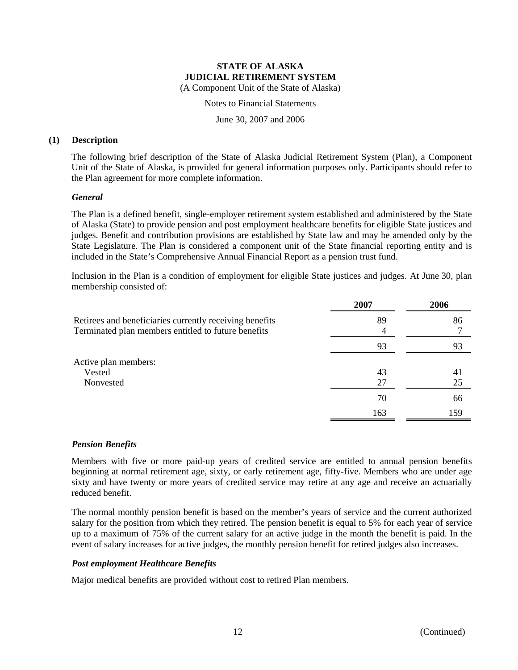Notes to Financial Statements

June 30, 2007 and 2006

## **(1) Description**

The following brief description of the State of Alaska Judicial Retirement System (Plan), a Component Unit of the State of Alaska, is provided for general information purposes only. Participants should refer to the Plan agreement for more complete information.

## *General*

The Plan is a defined benefit, single-employer retirement system established and administered by the State of Alaska (State) to provide pension and post employment healthcare benefits for eligible State justices and judges. Benefit and contribution provisions are established by State law and may be amended only by the State Legislature. The Plan is considered a component unit of the State financial reporting entity and is included in the State's Comprehensive Annual Financial Report as a pension trust fund.

Inclusion in the Plan is a condition of employment for eligible State justices and judges. At June 30, plan membership consisted of:

|                                                                                                                | 2007 | 2006 |
|----------------------------------------------------------------------------------------------------------------|------|------|
| Retirees and beneficiaries currently receiving benefits<br>Terminated plan members entitled to future benefits | 89   | 86   |
|                                                                                                                | 93   | 93   |
| Active plan members:                                                                                           |      |      |
| Vested                                                                                                         | 43   | 41   |
| Nonvested                                                                                                      | 27   | 25   |
|                                                                                                                | 70   | 66   |
|                                                                                                                | 163  | 159  |

## *Pension Benefits*

Members with five or more paid-up years of credited service are entitled to annual pension benefits beginning at normal retirement age, sixty, or early retirement age, fifty-five. Members who are under age sixty and have twenty or more years of credited service may retire at any age and receive an actuarially reduced benefit.

The normal monthly pension benefit is based on the member's years of service and the current authorized salary for the position from which they retired. The pension benefit is equal to 5% for each year of service up to a maximum of 75% of the current salary for an active judge in the month the benefit is paid. In the event of salary increases for active judges, the monthly pension benefit for retired judges also increases.

## *Post employment Healthcare Benefits*

Major medical benefits are provided without cost to retired Plan members.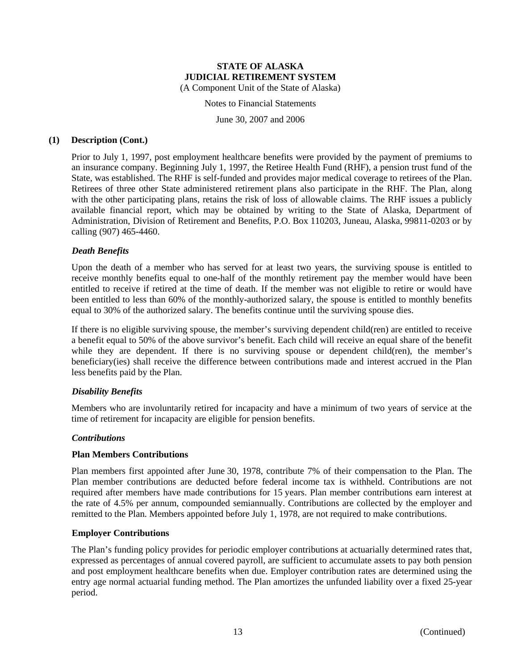Notes to Financial Statements

June 30, 2007 and 2006

#### **(1) Description (Cont.)**

Prior to July 1, 1997, post employment healthcare benefits were provided by the payment of premiums to an insurance company. Beginning July 1, 1997, the Retiree Health Fund (RHF), a pension trust fund of the State, was established. The RHF is self-funded and provides major medical coverage to retirees of the Plan. Retirees of three other State administered retirement plans also participate in the RHF. The Plan, along with the other participating plans, retains the risk of loss of allowable claims. The RHF issues a publicly available financial report, which may be obtained by writing to the State of Alaska, Department of Administration, Division of Retirement and Benefits, P.O. Box 110203, Juneau, Alaska, 99811-0203 or by calling (907) 465-4460.

## *Death Benefits*

Upon the death of a member who has served for at least two years, the surviving spouse is entitled to receive monthly benefits equal to one-half of the monthly retirement pay the member would have been entitled to receive if retired at the time of death. If the member was not eligible to retire or would have been entitled to less than 60% of the monthly-authorized salary, the spouse is entitled to monthly benefits equal to 30% of the authorized salary. The benefits continue until the surviving spouse dies.

If there is no eligible surviving spouse, the member's surviving dependent child(ren) are entitled to receive a benefit equal to 50% of the above survivor's benefit. Each child will receive an equal share of the benefit while they are dependent. If there is no surviving spouse or dependent child(ren), the member's beneficiary(ies) shall receive the difference between contributions made and interest accrued in the Plan less benefits paid by the Plan.

## *Disability Benefits*

Members who are involuntarily retired for incapacity and have a minimum of two years of service at the time of retirement for incapacity are eligible for pension benefits.

## *Contributions*

#### **Plan Members Contributions**

Plan members first appointed after June 30, 1978, contribute 7% of their compensation to the Plan. The Plan member contributions are deducted before federal income tax is withheld. Contributions are not required after members have made contributions for 15 years. Plan member contributions earn interest at the rate of 4.5% per annum, compounded semiannually. Contributions are collected by the employer and remitted to the Plan. Members appointed before July 1, 1978, are not required to make contributions.

#### **Employer Contributions**

The Plan's funding policy provides for periodic employer contributions at actuarially determined rates that, expressed as percentages of annual covered payroll, are sufficient to accumulate assets to pay both pension and post employment healthcare benefits when due. Employer contribution rates are determined using the entry age normal actuarial funding method. The Plan amortizes the unfunded liability over a fixed 25-year period.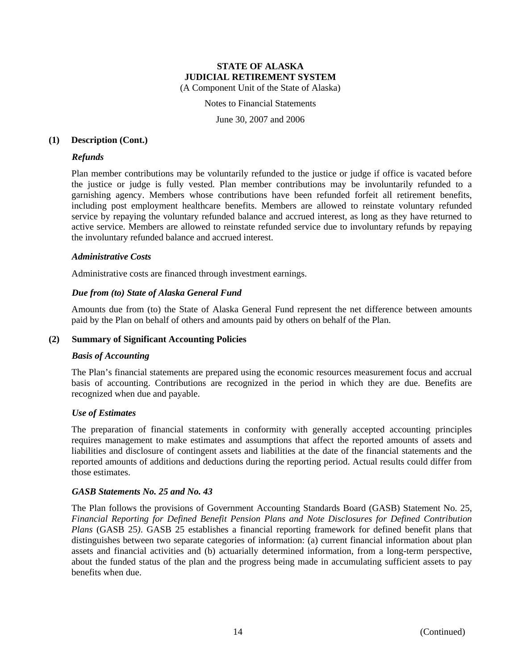Notes to Financial Statements

June 30, 2007 and 2006

#### **(1) Description (Cont.)**

## *Refunds*

Plan member contributions may be voluntarily refunded to the justice or judge if office is vacated before the justice or judge is fully vested. Plan member contributions may be involuntarily refunded to a garnishing agency. Members whose contributions have been refunded forfeit all retirement benefits, including post employment healthcare benefits. Members are allowed to reinstate voluntary refunded service by repaying the voluntary refunded balance and accrued interest, as long as they have returned to active service. Members are allowed to reinstate refunded service due to involuntary refunds by repaying the involuntary refunded balance and accrued interest.

#### *Administrative Costs*

Administrative costs are financed through investment earnings.

## *Due from (to) State of Alaska General Fund*

Amounts due from (to) the State of Alaska General Fund represent the net difference between amounts paid by the Plan on behalf of others and amounts paid by others on behalf of the Plan.

#### **(2) Summary of Significant Accounting Policies**

#### *Basis of Accounting*

The Plan's financial statements are prepared using the economic resources measurement focus and accrual basis of accounting. Contributions are recognized in the period in which they are due. Benefits are recognized when due and payable.

#### *Use of Estimates*

The preparation of financial statements in conformity with generally accepted accounting principles requires management to make estimates and assumptions that affect the reported amounts of assets and liabilities and disclosure of contingent assets and liabilities at the date of the financial statements and the reported amounts of additions and deductions during the reporting period. Actual results could differ from those estimates.

#### *GASB Statements No. 25 and No. 43*

The Plan follows the provisions of Government Accounting Standards Board (GASB) Statement No. 25, *Financial Reporting for Defined Benefit Pension Plans and Note Disclosures for Defined Contribution Plans* (GASB 25*)*. GASB 25 establishes a financial reporting framework for defined benefit plans that distinguishes between two separate categories of information: (a) current financial information about plan assets and financial activities and (b) actuarially determined information, from a long-term perspective, about the funded status of the plan and the progress being made in accumulating sufficient assets to pay benefits when due.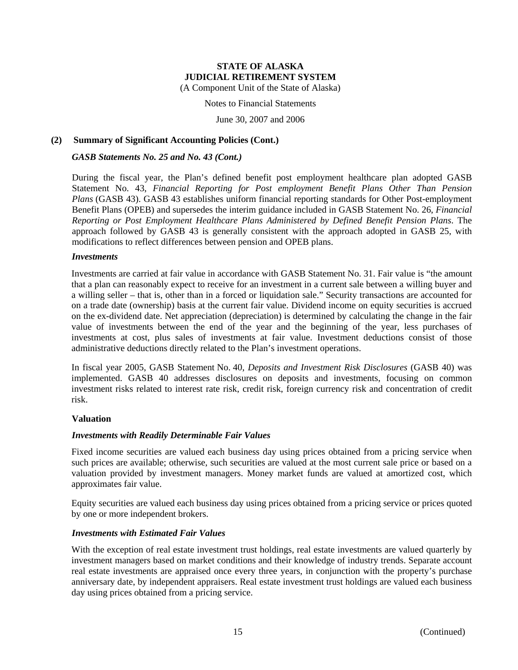(A Component Unit of the State of Alaska)

Notes to Financial Statements

June 30, 2007 and 2006

## **(2) Summary of Significant Accounting Policies (Cont.)**

#### *GASB Statements No. 25 and No. 43 (Cont.)*

During the fiscal year, the Plan's defined benefit post employment healthcare plan adopted GASB Statement No. 43, *Financial Reporting for Post employment Benefit Plans Other Than Pension Plans* (GASB 43). GASB 43 establishes uniform financial reporting standards for Other Post-employment Benefit Plans (OPEB) and supersedes the interim guidance included in GASB Statement No. 26, *Financial Reporting or Post Employment Healthcare Plans Administered by Defined Benefit Pension Plans*. The approach followed by GASB 43 is generally consistent with the approach adopted in GASB 25, with modifications to reflect differences between pension and OPEB plans.

#### *Investments*

Investments are carried at fair value in accordance with GASB Statement No. 31. Fair value is "the amount that a plan can reasonably expect to receive for an investment in a current sale between a willing buyer and a willing seller – that is, other than in a forced or liquidation sale." Security transactions are accounted for on a trade date (ownership) basis at the current fair value. Dividend income on equity securities is accrued on the ex-dividend date. Net appreciation (depreciation) is determined by calculating the change in the fair value of investments between the end of the year and the beginning of the year, less purchases of investments at cost, plus sales of investments at fair value. Investment deductions consist of those administrative deductions directly related to the Plan's investment operations.

In fiscal year 2005, GASB Statement No. 40, *Deposits and Investment Risk Disclosures* (GASB 40) was implemented. GASB 40 addresses disclosures on deposits and investments, focusing on common investment risks related to interest rate risk, credit risk, foreign currency risk and concentration of credit risk.

## **Valuation**

## *Investments with Readily Determinable Fair Values*

Fixed income securities are valued each business day using prices obtained from a pricing service when such prices are available; otherwise, such securities are valued at the most current sale price or based on a valuation provided by investment managers. Money market funds are valued at amortized cost, which approximates fair value.

Equity securities are valued each business day using prices obtained from a pricing service or prices quoted by one or more independent brokers.

## *Investments with Estimated Fair Values*

With the exception of real estate investment trust holdings, real estate investments are valued quarterly by investment managers based on market conditions and their knowledge of industry trends. Separate account real estate investments are appraised once every three years, in conjunction with the property's purchase anniversary date, by independent appraisers. Real estate investment trust holdings are valued each business day using prices obtained from a pricing service.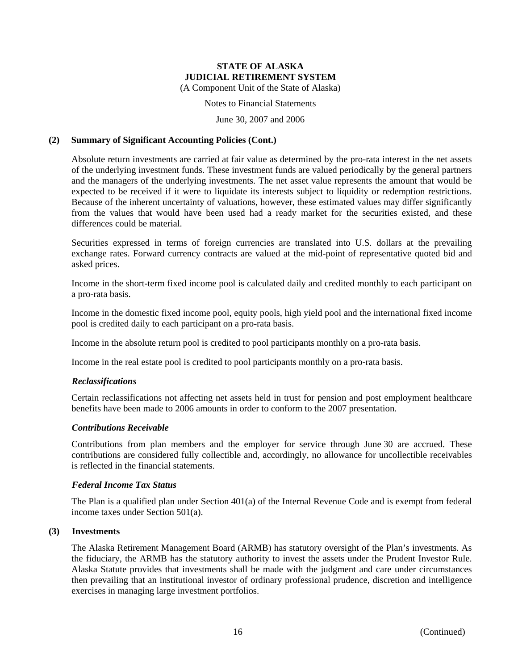(A Component Unit of the State of Alaska)

#### Notes to Financial Statements

June 30, 2007 and 2006

#### **(2) Summary of Significant Accounting Policies (Cont.)**

Absolute return investments are carried at fair value as determined by the pro-rata interest in the net assets of the underlying investment funds. These investment funds are valued periodically by the general partners and the managers of the underlying investments. The net asset value represents the amount that would be expected to be received if it were to liquidate its interests subject to liquidity or redemption restrictions. Because of the inherent uncertainty of valuations, however, these estimated values may differ significantly from the values that would have been used had a ready market for the securities existed, and these differences could be material.

Securities expressed in terms of foreign currencies are translated into U.S. dollars at the prevailing exchange rates. Forward currency contracts are valued at the mid-point of representative quoted bid and asked prices.

Income in the short-term fixed income pool is calculated daily and credited monthly to each participant on a pro-rata basis.

Income in the domestic fixed income pool, equity pools, high yield pool and the international fixed income pool is credited daily to each participant on a pro-rata basis.

Income in the absolute return pool is credited to pool participants monthly on a pro-rata basis.

Income in the real estate pool is credited to pool participants monthly on a pro-rata basis.

## *Reclassifications*

Certain reclassifications not affecting net assets held in trust for pension and post employment healthcare benefits have been made to 2006 amounts in order to conform to the 2007 presentation.

#### *Contributions Receivable*

Contributions from plan members and the employer for service through June 30 are accrued. These contributions are considered fully collectible and, accordingly, no allowance for uncollectible receivables is reflected in the financial statements.

#### *Federal Income Tax Status*

The Plan is a qualified plan under Section 401(a) of the Internal Revenue Code and is exempt from federal income taxes under Section 501(a).

#### **(3) Investments**

The Alaska Retirement Management Board (ARMB) has statutory oversight of the Plan's investments. As the fiduciary, the ARMB has the statutory authority to invest the assets under the Prudent Investor Rule. Alaska Statute provides that investments shall be made with the judgment and care under circumstances then prevailing that an institutional investor of ordinary professional prudence, discretion and intelligence exercises in managing large investment portfolios.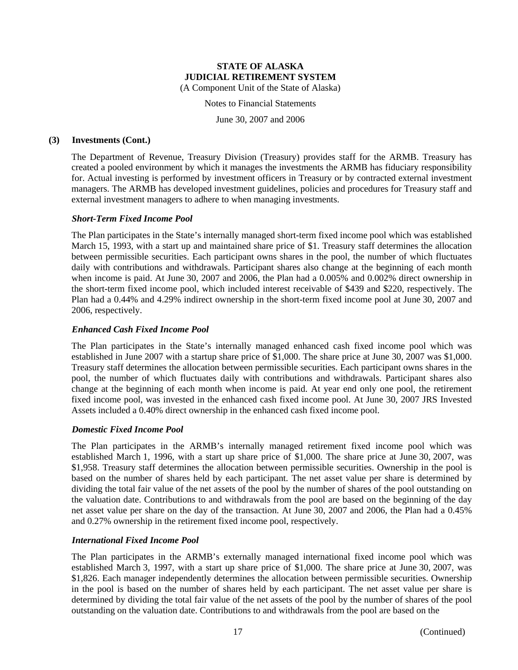Notes to Financial Statements

June 30, 2007 and 2006

#### **(3) Investments (Cont.)**

The Department of Revenue, Treasury Division (Treasury) provides staff for the ARMB. Treasury has created a pooled environment by which it manages the investments the ARMB has fiduciary responsibility for. Actual investing is performed by investment officers in Treasury or by contracted external investment managers. The ARMB has developed investment guidelines, policies and procedures for Treasury staff and external investment managers to adhere to when managing investments.

## *Short-Term Fixed Income Pool*

The Plan participates in the State's internally managed short-term fixed income pool which was established March 15, 1993, with a start up and maintained share price of \$1. Treasury staff determines the allocation between permissible securities. Each participant owns shares in the pool, the number of which fluctuates daily with contributions and withdrawals. Participant shares also change at the beginning of each month when income is paid. At June 30, 2007 and 2006, the Plan had a 0.005% and 0.002% direct ownership in the short-term fixed income pool, which included interest receivable of \$439 and \$220, respectively. The Plan had a 0.44% and 4.29% indirect ownership in the short-term fixed income pool at June 30, 2007 and 2006, respectively.

## *Enhanced Cash Fixed Income Pool*

The Plan participates in the State's internally managed enhanced cash fixed income pool which was established in June 2007 with a startup share price of \$1,000. The share price at June 30, 2007 was \$1,000. Treasury staff determines the allocation between permissible securities. Each participant owns shares in the pool, the number of which fluctuates daily with contributions and withdrawals. Participant shares also change at the beginning of each month when income is paid. At year end only one pool, the retirement fixed income pool, was invested in the enhanced cash fixed income pool. At June 30, 2007 JRS Invested Assets included a 0.40% direct ownership in the enhanced cash fixed income pool.

#### *Domestic Fixed Income Pool*

The Plan participates in the ARMB's internally managed retirement fixed income pool which was established March 1, 1996, with a start up share price of \$1,000. The share price at June 30, 2007, was \$1,958. Treasury staff determines the allocation between permissible securities. Ownership in the pool is based on the number of shares held by each participant. The net asset value per share is determined by dividing the total fair value of the net assets of the pool by the number of shares of the pool outstanding on the valuation date. Contributions to and withdrawals from the pool are based on the beginning of the day net asset value per share on the day of the transaction. At June 30, 2007 and 2006, the Plan had a 0.45% and 0.27% ownership in the retirement fixed income pool, respectively.

## *International Fixed Income Pool*

The Plan participates in the ARMB's externally managed international fixed income pool which was established March 3, 1997, with a start up share price of \$1,000. The share price at June 30, 2007, was \$1,826. Each manager independently determines the allocation between permissible securities. Ownership in the pool is based on the number of shares held by each participant. The net asset value per share is determined by dividing the total fair value of the net assets of the pool by the number of shares of the pool outstanding on the valuation date. Contributions to and withdrawals from the pool are based on the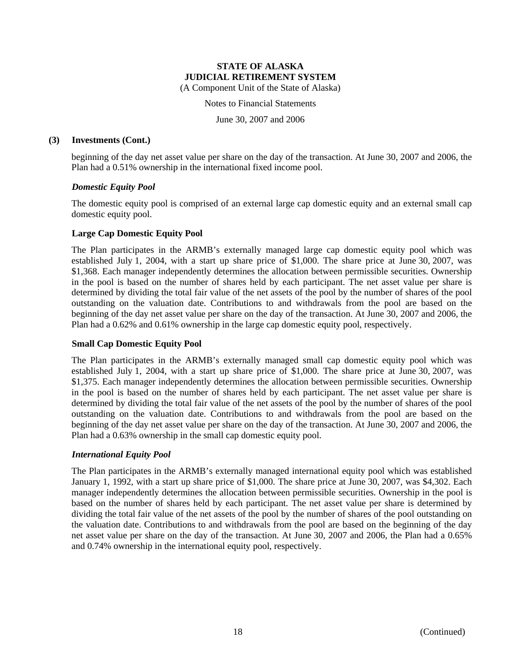Notes to Financial Statements

June 30, 2007 and 2006

#### **(3) Investments (Cont.)**

beginning of the day net asset value per share on the day of the transaction. At June 30, 2007 and 2006, the Plan had a 0.51% ownership in the international fixed income pool.

## *Domestic Equity Pool*

The domestic equity pool is comprised of an external large cap domestic equity and an external small cap domestic equity pool.

## **Large Cap Domestic Equity Pool**

The Plan participates in the ARMB's externally managed large cap domestic equity pool which was established July 1, 2004, with a start up share price of \$1,000. The share price at June 30, 2007, was \$1,368. Each manager independently determines the allocation between permissible securities. Ownership in the pool is based on the number of shares held by each participant. The net asset value per share is determined by dividing the total fair value of the net assets of the pool by the number of shares of the pool outstanding on the valuation date. Contributions to and withdrawals from the pool are based on the beginning of the day net asset value per share on the day of the transaction. At June 30, 2007 and 2006, the Plan had a 0.62% and 0.61% ownership in the large cap domestic equity pool, respectively.

## **Small Cap Domestic Equity Pool**

The Plan participates in the ARMB's externally managed small cap domestic equity pool which was established July 1, 2004, with a start up share price of \$1,000. The share price at June 30, 2007, was \$1,375. Each manager independently determines the allocation between permissible securities. Ownership in the pool is based on the number of shares held by each participant. The net asset value per share is determined by dividing the total fair value of the net assets of the pool by the number of shares of the pool outstanding on the valuation date. Contributions to and withdrawals from the pool are based on the beginning of the day net asset value per share on the day of the transaction. At June 30, 2007 and 2006, the Plan had a 0.63% ownership in the small cap domestic equity pool.

#### *International Equity Pool*

The Plan participates in the ARMB's externally managed international equity pool which was established January 1, 1992, with a start up share price of \$1,000. The share price at June 30, 2007, was \$4,302. Each manager independently determines the allocation between permissible securities. Ownership in the pool is based on the number of shares held by each participant. The net asset value per share is determined by dividing the total fair value of the net assets of the pool by the number of shares of the pool outstanding on the valuation date. Contributions to and withdrawals from the pool are based on the beginning of the day net asset value per share on the day of the transaction. At June 30, 2007 and 2006, the Plan had a 0.65% and 0.74% ownership in the international equity pool, respectively.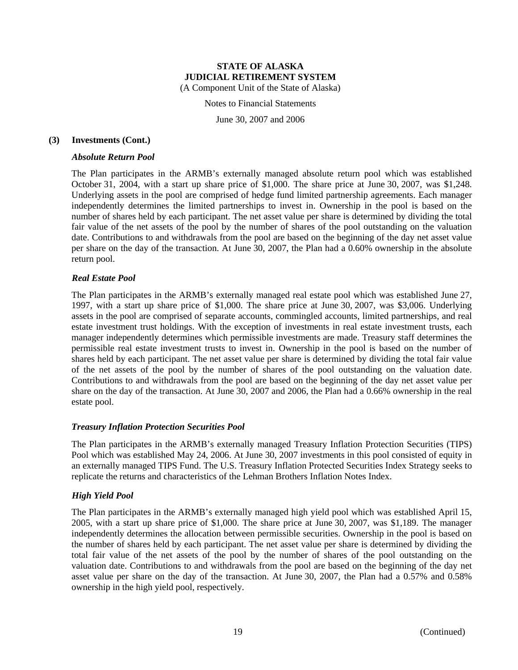Notes to Financial Statements

June 30, 2007 and 2006

#### **(3) Investments (Cont.)**

#### *Absolute Return Pool*

The Plan participates in the ARMB's externally managed absolute return pool which was established October 31, 2004, with a start up share price of \$1,000. The share price at June 30, 2007, was \$1,248. Underlying assets in the pool are comprised of hedge fund limited partnership agreements. Each manager independently determines the limited partnerships to invest in. Ownership in the pool is based on the number of shares held by each participant. The net asset value per share is determined by dividing the total fair value of the net assets of the pool by the number of shares of the pool outstanding on the valuation date. Contributions to and withdrawals from the pool are based on the beginning of the day net asset value per share on the day of the transaction. At June 30, 2007, the Plan had a 0.60% ownership in the absolute return pool.

#### *Real Estate Pool*

The Plan participates in the ARMB's externally managed real estate pool which was established June 27, 1997, with a start up share price of \$1,000. The share price at June 30, 2007, was \$3,006. Underlying assets in the pool are comprised of separate accounts, commingled accounts, limited partnerships, and real estate investment trust holdings. With the exception of investments in real estate investment trusts, each manager independently determines which permissible investments are made. Treasury staff determines the permissible real estate investment trusts to invest in. Ownership in the pool is based on the number of shares held by each participant. The net asset value per share is determined by dividing the total fair value of the net assets of the pool by the number of shares of the pool outstanding on the valuation date. Contributions to and withdrawals from the pool are based on the beginning of the day net asset value per share on the day of the transaction. At June 30, 2007 and 2006, the Plan had a 0.66% ownership in the real estate pool.

#### *Treasury Inflation Protection Securities Pool*

The Plan participates in the ARMB's externally managed Treasury Inflation Protection Securities (TIPS) Pool which was established May 24, 2006. At June 30, 2007 investments in this pool consisted of equity in an externally managed TIPS Fund. The U.S. Treasury Inflation Protected Securities Index Strategy seeks to replicate the returns and characteristics of the Lehman Brothers Inflation Notes Index.

#### *High Yield Pool*

The Plan participates in the ARMB's externally managed high yield pool which was established April 15, 2005, with a start up share price of \$1,000. The share price at June 30, 2007, was \$1,189. The manager independently determines the allocation between permissible securities. Ownership in the pool is based on the number of shares held by each participant. The net asset value per share is determined by dividing the total fair value of the net assets of the pool by the number of shares of the pool outstanding on the valuation date. Contributions to and withdrawals from the pool are based on the beginning of the day net asset value per share on the day of the transaction. At June 30, 2007, the Plan had a 0.57% and 0.58% ownership in the high yield pool, respectively.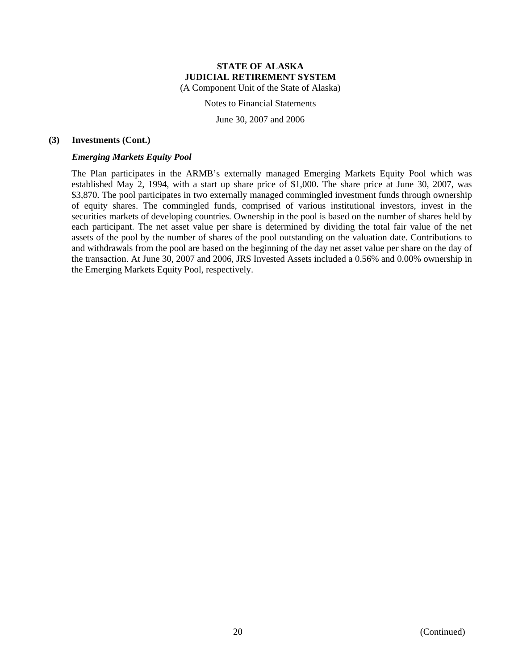Notes to Financial Statements

June 30, 2007 and 2006

## **(3) Investments (Cont.)**

## *Emerging Markets Equity Pool*

The Plan participates in the ARMB's externally managed Emerging Markets Equity Pool which was established May 2, 1994, with a start up share price of \$1,000. The share price at June 30, 2007, was \$3,870. The pool participates in two externally managed commingled investment funds through ownership of equity shares. The commingled funds, comprised of various institutional investors, invest in the securities markets of developing countries. Ownership in the pool is based on the number of shares held by each participant. The net asset value per share is determined by dividing the total fair value of the net assets of the pool by the number of shares of the pool outstanding on the valuation date. Contributions to and withdrawals from the pool are based on the beginning of the day net asset value per share on the day of the transaction. At June 30, 2007 and 2006, JRS Invested Assets included a 0.56% and 0.00% ownership in the Emerging Markets Equity Pool, respectively.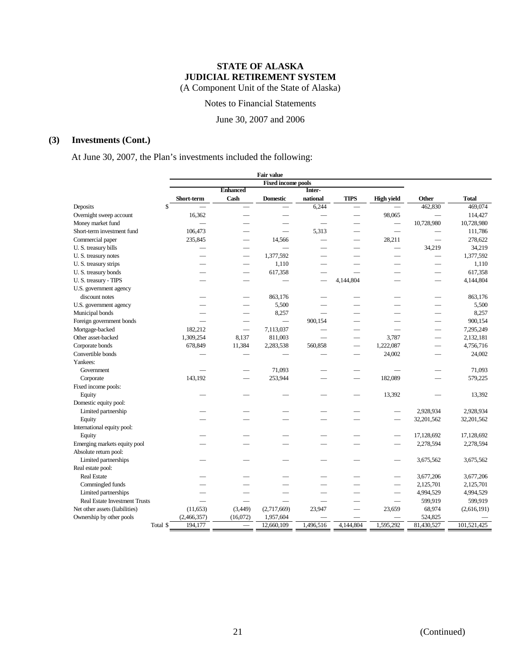Notes to Financial Statements

June 30, 2007 and 2006

# **(3) Investments (Cont.)**

At June 30, 2007, the Plan's investments included the following:

|                                                                        |                           |                          |                 | <b>Fair value</b> |           |                          |                   |                          |              |
|------------------------------------------------------------------------|---------------------------|--------------------------|-----------------|-------------------|-----------|--------------------------|-------------------|--------------------------|--------------|
|                                                                        | <b>Fixed income pools</b> |                          |                 |                   |           |                          |                   |                          |              |
|                                                                        |                           |                          | <b>Enhanced</b> |                   | Inter-    |                          |                   |                          |              |
|                                                                        |                           | Short-term               | Cash            | <b>Domestic</b>   | national  | <b>TIPS</b>              | <b>High yield</b> | Other                    | <b>Total</b> |
| Deposits                                                               | \$                        |                          |                 |                   | 6,244     |                          |                   | 462,830                  | 469,074      |
| Overnight sweep account                                                |                           | 16,362                   |                 |                   |           |                          | 98,065            |                          | 114,427      |
| Money market fund                                                      |                           |                          |                 |                   |           |                          |                   | 10,728,980               | 10,728,980   |
| Short-term investment fund                                             |                           | 106,473                  |                 |                   | 5,313     |                          |                   |                          | 111,786      |
| Commercial paper                                                       |                           | 235,845                  |                 | 14,566            |           |                          | 28,211            |                          | 278,622      |
| U. S. treasury bills                                                   |                           |                          |                 |                   |           |                          |                   | 34,219                   | 34,219       |
| U.S. treasury notes                                                    |                           | $\overline{\phantom{0}}$ |                 | 1,377,592         |           |                          |                   | $\overline{\phantom{0}}$ | 1,377,592    |
| U.S. treasury strips                                                   |                           |                          |                 | 1,110             |           |                          |                   | $\overline{\phantom{0}}$ | 1,110        |
| U.S. treasury bonds                                                    |                           |                          |                 | 617,358           |           |                          |                   |                          | 617,358      |
| U.S. treasury - TIPS                                                   |                           |                          |                 |                   |           | 4,144,804                |                   | $\overline{\phantom{0}}$ | 4,144,804    |
| U.S. government agency                                                 |                           |                          |                 |                   |           |                          |                   |                          |              |
| discount notes                                                         |                           |                          |                 | 863,176           |           |                          |                   |                          | 863,176      |
| U.S. government agency                                                 |                           |                          |                 | 5,500             |           |                          |                   |                          | 5,500        |
| Municipal bonds                                                        |                           |                          |                 | 8,257             |           |                          |                   |                          | 8,257        |
| Foreign government bonds                                               |                           |                          |                 |                   | 900,154   |                          |                   |                          | 900,154      |
| Mortgage-backed                                                        |                           | 182,212                  |                 | 7,113,037         |           |                          |                   |                          | 7,295,249    |
| Other asset-backed                                                     |                           | 1,309,254                | 8,137           | 811,003           |           |                          | 3,787             |                          | 2,132,181    |
| Corporate bonds                                                        |                           | 678,849                  | 11,384          | 2,283,538         | 560,858   | $\overline{\phantom{0}}$ | 1,222,087         |                          | 4,756,716    |
| Convertible bonds                                                      |                           |                          |                 |                   |           |                          | 24,002            |                          | 24,002       |
| Yankees:                                                               |                           |                          |                 |                   |           |                          |                   |                          |              |
| Government                                                             |                           |                          |                 | 71,093            |           |                          |                   |                          | 71,093       |
| Corporate                                                              |                           | 143,192                  |                 | 253,944           |           |                          | 182,089           |                          | 579,225      |
| Fixed income pools:                                                    |                           |                          |                 |                   |           |                          |                   |                          |              |
| Equity                                                                 |                           |                          |                 |                   |           |                          | 13,392            |                          | 13,392       |
| Domestic equity pool:                                                  |                           |                          |                 |                   |           |                          |                   |                          |              |
| Limited partnership                                                    |                           |                          |                 |                   |           |                          |                   | 2,928,934                | 2,928,934    |
| Equity                                                                 |                           |                          |                 |                   |           |                          |                   | 32,201,562               | 32,201,562   |
| International equity pool:                                             |                           |                          |                 |                   |           |                          |                   |                          |              |
| Equity                                                                 |                           |                          |                 |                   |           |                          |                   | 17,128,692               | 17,128,692   |
| Emerging markets equity pool                                           |                           |                          |                 |                   |           |                          |                   | 2,278,594                | 2,278,594    |
| Absolute return pool:                                                  |                           |                          |                 |                   |           |                          |                   |                          |              |
| Limited partnerships                                                   |                           |                          |                 |                   |           |                          |                   | 3,675,562                | 3,675,562    |
| Real estate pool:                                                      |                           |                          |                 |                   |           |                          |                   |                          |              |
| <b>Real Estate</b>                                                     |                           |                          |                 |                   |           |                          |                   | 3,677,206                | 3,677,206    |
| Commingled funds                                                       |                           |                          |                 |                   |           |                          |                   | 2,125,701                | 2,125,701    |
| Limited partnerships                                                   |                           |                          |                 |                   |           |                          |                   | 4,994,529                | 4,994,529    |
|                                                                        |                           |                          |                 |                   |           |                          |                   | 599,919                  | 599,919      |
| <b>Real Estate Investment Trusts</b><br>Net other assets (liabilities) |                           |                          | (3,449)         |                   | 23,947    |                          | 23,659            | 68,974                   |              |
|                                                                        |                           | (11,653)                 |                 | (2,717,669)       |           |                          |                   |                          | (2,616,191)  |
| Ownership by other pools                                               |                           | (2,466,357)              | (16,072)        | 1,957,604         |           |                          |                   | 524,825                  |              |
|                                                                        | Total \$                  | 194,177                  |                 | 12,660,109        | 1,496,516 | 4,144,804                | 1,595,292         | 81,430,527               | 101,521,425  |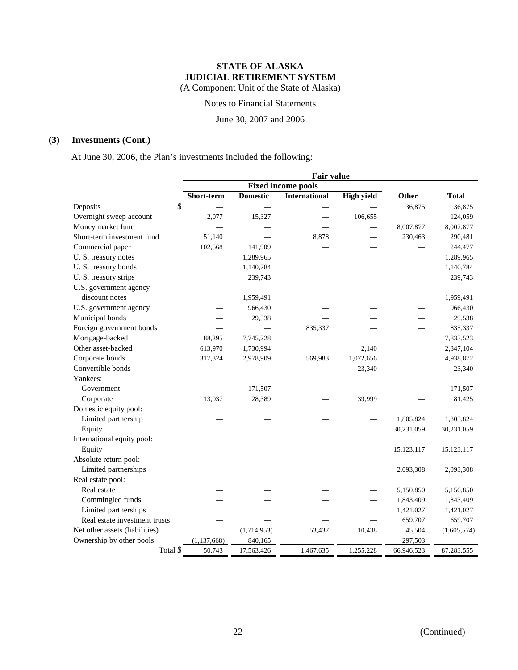Notes to Financial Statements

June 30, 2007 and 2006

# **(3) Investments (Cont.)**

At June 30, 2006, the Plan's investments included the following:

|                                |          |                          |                 | <b>Fair value</b>         |                   |            |              |
|--------------------------------|----------|--------------------------|-----------------|---------------------------|-------------------|------------|--------------|
|                                |          |                          |                 | <b>Fixed income pools</b> |                   |            |              |
|                                |          | Short-term               | <b>Domestic</b> | <b>International</b>      | <b>High yield</b> | Other      | <b>Total</b> |
| Deposits                       | \$       |                          |                 |                           |                   | 36,875     | 36,875       |
| Overnight sweep account        |          | 2,077                    | 15,327          |                           | 106,655           |            | 124,059      |
| Money market fund              |          |                          |                 |                           |                   | 8,007,877  | 8,007,877    |
| Short-term investment fund     |          | 51,140                   |                 | 8,878                     |                   | 230,463    | 290,481      |
| Commercial paper               |          | 102,568                  | 141,909         |                           |                   |            | 244,477      |
| U.S. treasury notes            |          |                          | 1,289,965       |                           |                   |            | 1,289,965    |
| U.S. treasury bonds            |          |                          | 1,140,784       |                           |                   |            | 1,140,784    |
| U.S. treasury strips           |          |                          | 239,743         |                           |                   |            | 239,743      |
| U.S. government agency         |          |                          |                 |                           |                   |            |              |
| discount notes                 |          |                          | 1,959,491       |                           |                   |            | 1,959,491    |
| U.S. government agency         |          |                          | 966,430         |                           |                   |            | 966,430      |
| Municipal bonds                |          |                          | 29,538          |                           |                   |            | 29,538       |
| Foreign government bonds       |          |                          |                 | 835,337                   |                   |            | 835,337      |
| Mortgage-backed                |          | 88,295                   | 7,745,228       |                           |                   |            | 7,833,523    |
| Other asset-backed             |          | 613,970                  | 1,730,994       |                           | 2,140             |            | 2,347,104    |
| Corporate bonds                |          | 317,324                  | 2,978,909       | 569,983                   | 1,072,656         |            | 4,938,872    |
| Convertible bonds              |          |                          |                 |                           | 23,340            |            | 23,340       |
| Yankees:                       |          |                          |                 |                           |                   |            |              |
| Government                     |          |                          | 171,507         |                           |                   |            | 171,507      |
| Corporate                      |          | 13,037                   | 28,389          |                           | 39,999            |            | 81,425       |
| Domestic equity pool:          |          |                          |                 |                           |                   |            |              |
| Limited partnership            |          |                          |                 |                           |                   | 1,805,824  | 1,805,824    |
| Equity                         |          |                          |                 |                           |                   | 30,231,059 | 30,231,059   |
| International equity pool:     |          |                          |                 |                           |                   |            |              |
| Equity                         |          |                          |                 |                           |                   | 15,123,117 | 15,123,117   |
| Absolute return pool:          |          |                          |                 |                           |                   |            |              |
| Limited partnerships           |          |                          |                 |                           |                   | 2,093,308  | 2,093,308    |
| Real estate pool:              |          |                          |                 |                           |                   |            |              |
| Real estate                    |          |                          |                 |                           |                   | 5,150,850  | 5,150,850    |
| Commingled funds               |          |                          |                 |                           |                   | 1,843,409  | 1,843,409    |
| Limited partnerships           |          |                          |                 |                           |                   | 1,421,027  | 1,421,027    |
| Real estate investment trusts  |          |                          |                 |                           |                   | 659,707    | 659,707      |
| Net other assets (liabilities) |          | $\overline{\phantom{0}}$ | (1,714,953)     | 53,437                    | 10,438            | 45,504     | (1,605,574)  |
| Ownership by other pools       |          | (1, 137, 668)            | 840,165         |                           |                   | 297,503    |              |
|                                | Total \$ | 50.743                   | 17,563,426      | 1.467.635                 | 1,255,228         | 66,946,523 | 87,283,555   |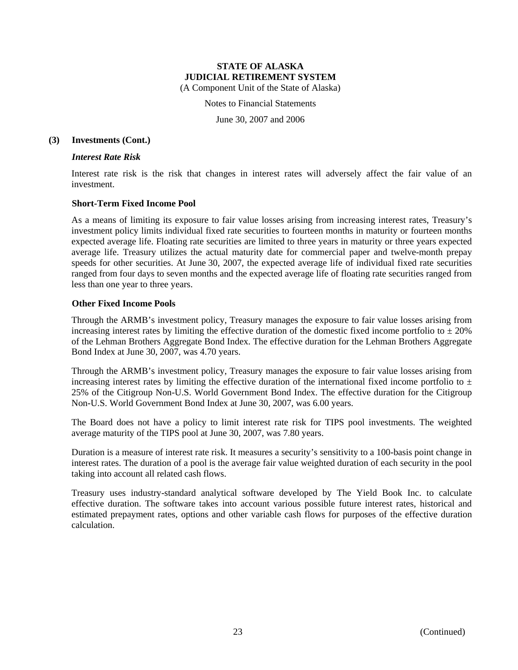Notes to Financial Statements

June 30, 2007 and 2006

#### **(3) Investments (Cont.)**

#### *Interest Rate Risk*

Interest rate risk is the risk that changes in interest rates will adversely affect the fair value of an investment.

## **Short-Term Fixed Income Pool**

As a means of limiting its exposure to fair value losses arising from increasing interest rates, Treasury's investment policy limits individual fixed rate securities to fourteen months in maturity or fourteen months expected average life. Floating rate securities are limited to three years in maturity or three years expected average life. Treasury utilizes the actual maturity date for commercial paper and twelve-month prepay speeds for other securities. At June 30, 2007, the expected average life of individual fixed rate securities ranged from four days to seven months and the expected average life of floating rate securities ranged from less than one year to three years.

## **Other Fixed Income Pools**

Through the ARMB's investment policy, Treasury manages the exposure to fair value losses arising from increasing interest rates by limiting the effective duration of the domestic fixed income portfolio to  $\pm 20\%$ of the Lehman Brothers Aggregate Bond Index. The effective duration for the Lehman Brothers Aggregate Bond Index at June 30, 2007, was 4.70 years.

Through the ARMB's investment policy, Treasury manages the exposure to fair value losses arising from increasing interest rates by limiting the effective duration of the international fixed income portfolio to  $\pm$ 25% of the Citigroup Non-U.S. World Government Bond Index. The effective duration for the Citigroup Non-U.S. World Government Bond Index at June 30, 2007, was 6.00 years.

The Board does not have a policy to limit interest rate risk for TIPS pool investments. The weighted average maturity of the TIPS pool at June 30, 2007, was 7.80 years.

Duration is a measure of interest rate risk. It measures a security's sensitivity to a 100-basis point change in interest rates. The duration of a pool is the average fair value weighted duration of each security in the pool taking into account all related cash flows.

Treasury uses industry-standard analytical software developed by The Yield Book Inc. to calculate effective duration. The software takes into account various possible future interest rates, historical and estimated prepayment rates, options and other variable cash flows for purposes of the effective duration calculation.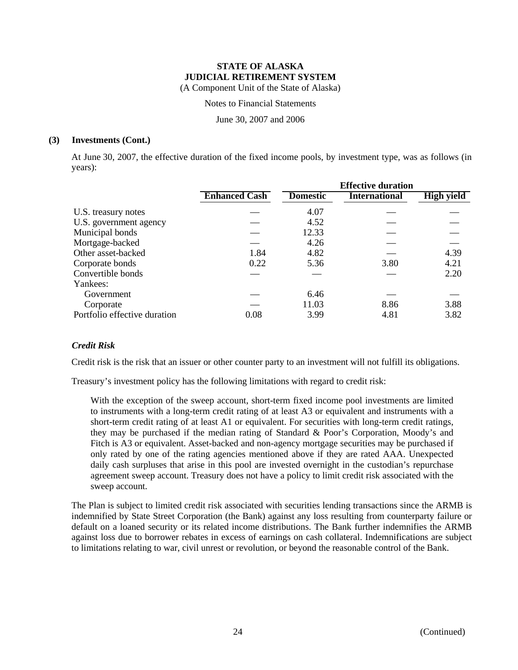Notes to Financial Statements

June 30, 2007 and 2006

#### **(3) Investments (Cont.)**

At June 30, 2007, the effective duration of the fixed income pools, by investment type, was as follows (in years):

|                              |                      |                 | <b>Effective duration</b> |                   |  |  |  |
|------------------------------|----------------------|-----------------|---------------------------|-------------------|--|--|--|
|                              | <b>Enhanced Cash</b> | <b>Domestic</b> | <b>International</b>      | <b>High yield</b> |  |  |  |
| U.S. treasury notes          |                      | 4.07            |                           |                   |  |  |  |
| U.S. government agency       |                      | 4.52            |                           |                   |  |  |  |
| Municipal bonds              |                      | 12.33           |                           |                   |  |  |  |
| Mortgage-backed              |                      | 4.26            |                           |                   |  |  |  |
| Other asset-backed           | 1.84                 | 4.82            |                           | 4.39              |  |  |  |
| Corporate bonds              | 0.22                 | 5.36            | 3.80                      | 4.21              |  |  |  |
| Convertible bonds            |                      |                 |                           | 2.20              |  |  |  |
| Yankees:                     |                      |                 |                           |                   |  |  |  |
| Government                   |                      | 6.46            |                           |                   |  |  |  |
| Corporate                    |                      | 11.03           | 8.86                      | 3.88              |  |  |  |
| Portfolio effective duration | 0.08                 | 3.99            | 4.81                      | 3.82              |  |  |  |

## *Credit Risk*

Credit risk is the risk that an issuer or other counter party to an investment will not fulfill its obligations.

Treasury's investment policy has the following limitations with regard to credit risk:

With the exception of the sweep account, short-term fixed income pool investments are limited to instruments with a long-term credit rating of at least A3 or equivalent and instruments with a short-term credit rating of at least A1 or equivalent. For securities with long-term credit ratings, they may be purchased if the median rating of Standard & Poor's Corporation, Moody's and Fitch is A3 or equivalent. Asset-backed and non-agency mortgage securities may be purchased if only rated by one of the rating agencies mentioned above if they are rated AAA. Unexpected daily cash surpluses that arise in this pool are invested overnight in the custodian's repurchase agreement sweep account. Treasury does not have a policy to limit credit risk associated with the sweep account.

The Plan is subject to limited credit risk associated with securities lending transactions since the ARMB is indemnified by State Street Corporation (the Bank) against any loss resulting from counterparty failure or default on a loaned security or its related income distributions. The Bank further indemnifies the ARMB against loss due to borrower rebates in excess of earnings on cash collateral. Indemnifications are subject to limitations relating to war, civil unrest or revolution, or beyond the reasonable control of the Bank.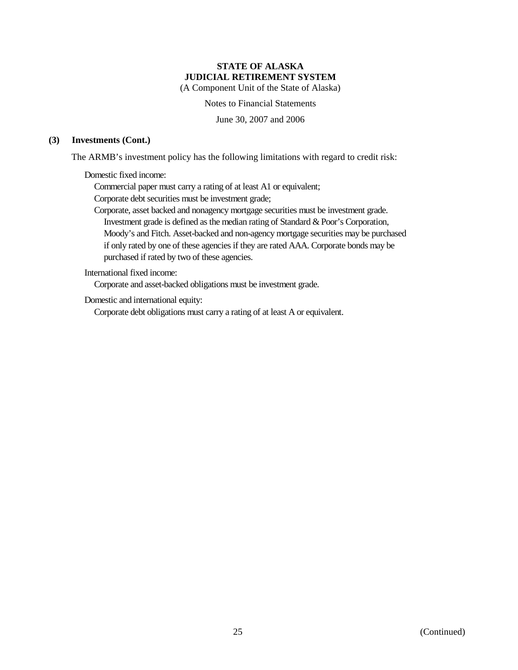Notes to Financial Statements

June 30, 2007 and 2006

## **(3) Investments (Cont.)**

The ARMB's investment policy has the following limitations with regard to credit risk:

Domestic fixed income:

Commercial paper must carry a rating of at least A1 or equivalent;

Corporate debt securities must be investment grade;

Corporate, asset backed and nonagency mortgage securities must be investment grade. Investment grade is defined as the median rating of Standard & Poor's Corporation, Moody's and Fitch. Asset-backed and non-agency mortgage securities may be purchased if only rated by one of these agencies if they are rated AAA. Corporate bonds may be purchased if rated by two of these agencies.

#### International fixed income:

Corporate and asset-backed obligations must be investment grade.

Domestic and international equity:

Corporate debt obligations must carry a rating of at least A or equivalent.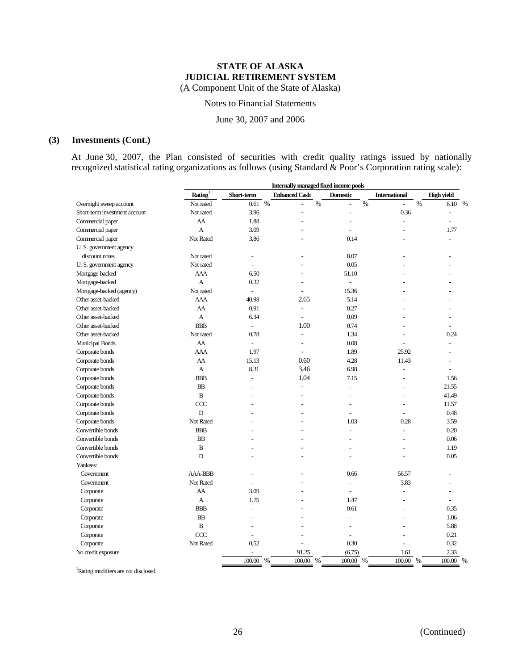Notes to Financial Statements

June 30, 2007 and 2006

# **(3) Investments (Cont.)**

At June 30, 2007, the Plan consisted of securities with credit quality ratings issued by nationally recognized statistical rating organizations as follows (using Standard & Poor's Corporation rating scale):

|                               |                | Internally managed fixed income pools |                        |                       |                        |                   |  |
|-------------------------------|----------------|---------------------------------------|------------------------|-----------------------|------------------------|-------------------|--|
|                               | Rating $1$     | Short-term                            | <b>Enhanced Cash</b>   | <b>Domestic</b>       | <b>International</b>   | <b>High yield</b> |  |
| Overnight sweep account       | Not rated      | 0.61%                                 | $\%$<br>$\overline{a}$ | $\%$<br>$\frac{1}{2}$ | $\%$<br>$\overline{a}$ | $\%$<br>6.10      |  |
| Short-term investment account | Not rated      | 3.96                                  | ٠                      | $\overline{a}$        | 0.36                   | ÷,                |  |
| Commercial paper              | AA             | 1.88                                  |                        | $\overline{a}$        | $\overline{a}$         | ÷                 |  |
| Commercial paper              | $\overline{A}$ | 3.09                                  |                        |                       |                        | 1.77              |  |
| Commercial paper              | Not Rated      | 3.86                                  |                        | 0.14                  |                        |                   |  |
| U. S. government agency       |                |                                       |                        |                       |                        |                   |  |
| discount notes                | Not rated      | $\overline{a}$                        |                        | 8.07                  |                        |                   |  |
| U. S. government agency       | Not rated      |                                       |                        | 0.05                  |                        |                   |  |
| Mortgage-backed               | <b>AAA</b>     | 6.50                                  |                        | 51.10                 |                        |                   |  |
| Mortgage-backed               | A              | 0.32                                  | $\overline{a}$         | $\overline{a}$        |                        |                   |  |
| Mortgage-backed (agency)      | Not rated      | $\overline{a}$                        |                        | 15.36                 |                        |                   |  |
| Other asset-backed            | AAA            | 40.98                                 | 2.65                   | 5.14                  |                        |                   |  |
| Other asset-backed            | AA             | 0.91                                  | ä,                     | 0.27                  |                        |                   |  |
| Other asset-backed            | A              | 6.34                                  | ä,                     | 0.09                  |                        |                   |  |
| Other asset-backed            | <b>BBB</b>     | $\overline{a}$                        | 1.00                   | 0.74                  |                        |                   |  |
| Other asset-backed            | Not rated      | 0.78                                  | ä,                     | 1.34                  |                        | 0.24              |  |
| Municipal Bonds               | AA             | $\overline{a}$                        |                        | 0.08                  |                        |                   |  |
| Corporate bonds               | AAA            | 1.97                                  | ä,                     | 1.89                  | 25.92                  |                   |  |
| Corporate bonds               | AA             | 15.13                                 | 0.60                   | 4.28                  | 11.43                  |                   |  |
| Corporate bonds               | A              | 8.31                                  | 3.46                   | 6.98                  | $\overline{a}$         |                   |  |
| Corporate bonds               | <b>BBB</b>     | $\overline{a}$                        | 1.04                   | 7.15                  | $\overline{a}$         | 1.56              |  |
| Corporate bonds               | <b>BB</b>      |                                       | ÷,                     | $\overline{a}$        |                        | 21.55             |  |
| Corporate bonds               | $\, {\bf B}$   |                                       | $\overline{a}$         | $\overline{a}$        | $\overline{a}$         | 41.49             |  |
| Corporate bonds               | CCC            |                                       |                        | $\overline{a}$        | $\overline{a}$         | 11.57             |  |
| Corporate bonds               | D              |                                       |                        | $\overline{a}$        |                        | 0.48              |  |
| Corporate bonds               | Not Rated      |                                       |                        | 1.03                  | 0.28                   | 3.59              |  |
| Convertible bonds             | <b>BBB</b>     |                                       |                        | ÷                     | $\overline{a}$         | 0.20              |  |
| Convertible bonds             | <b>BB</b>      |                                       |                        | $\overline{a}$        | $\overline{a}$         | 0.06              |  |
| Convertible bonds             | B              |                                       |                        | ÷                     |                        | 1.19              |  |
| Convertible bonds             | $\mathbf D$    |                                       |                        |                       |                        | 0.05              |  |
| Yankees:                      |                |                                       |                        |                       |                        |                   |  |
| Government                    | <b>AAA-BBB</b> |                                       |                        | 0.66                  | 56.57                  |                   |  |
| Government                    | Not Rated      |                                       |                        | $\sim$                | 3.83                   |                   |  |
| Corporate                     | AA             | 3.09                                  |                        |                       | $\overline{a}$         |                   |  |
| Corporate                     | A              | 1.75                                  |                        | 1.47                  |                        |                   |  |
| Corporate                     | <b>BBB</b>     | $\overline{a}$                        |                        | 0.61                  | $\overline{a}$         | 0.35              |  |
| Corporate                     | <b>BB</b>      |                                       |                        | $\overline{a}$        |                        | 1.06              |  |
| Corporate                     | $\, {\bf B}$   |                                       |                        | $\overline{a}$        |                        | 5.88              |  |
| Corporate                     | CCC            | $\overline{a}$                        |                        | $\overline{a}$        |                        | 0.21              |  |
| Corporate                     | Not Rated      | 0.52                                  | ٠                      | 0.30                  | $\overline{a}$         | 0.32              |  |
| No credit exposure            |                |                                       | 91.25                  | (6.75)                | 1.61                   | 2.33              |  |
|                               |                | 100.00 %                              | 100.00 %               | 100.00 %              | 100.00 %               | 100.00 %          |  |
|                               |                |                                       |                        |                       |                        |                   |  |

1 Rating modifiers are not disclosed.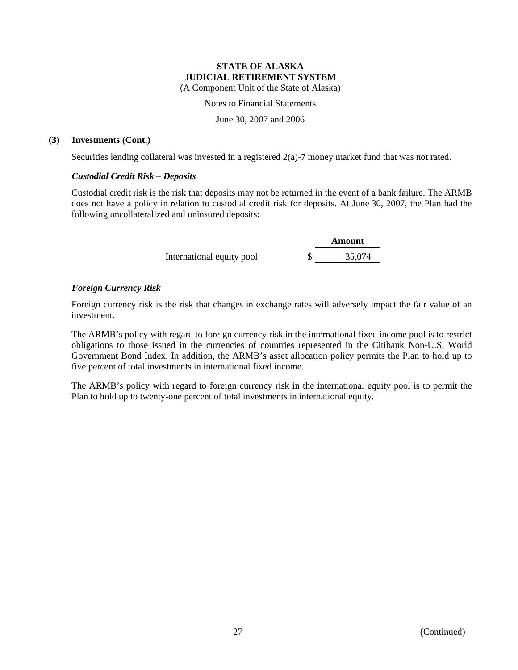Notes to Financial Statements

June 30, 2007 and 2006

## **(3) Investments (Cont.)**

Securities lending collateral was invested in a registered 2(a)-7 money market fund that was not rated.

## *Custodial Credit Risk – Deposits*

Custodial credit risk is the risk that deposits may not be returned in the event of a bank failure. The ARMB does not have a policy in relation to custodial credit risk for deposits. At June 30, 2007, the Plan had the following uncollateralized and uninsured deposits:

|                           | Amount |
|---------------------------|--------|
| International equity pool | 35,074 |

## *Foreign Currency Risk*

Foreign currency risk is the risk that changes in exchange rates will adversely impact the fair value of an investment.

The ARMB's policy with regard to foreign currency risk in the international fixed income pool is to restrict obligations to those issued in the currencies of countries represented in the Citibank Non-U.S. World Government Bond Index. In addition, the ARMB's asset allocation policy permits the Plan to hold up to five percent of total investments in international fixed income.

The ARMB's policy with regard to foreign currency risk in the international equity pool is to permit the Plan to hold up to twenty-one percent of total investments in international equity.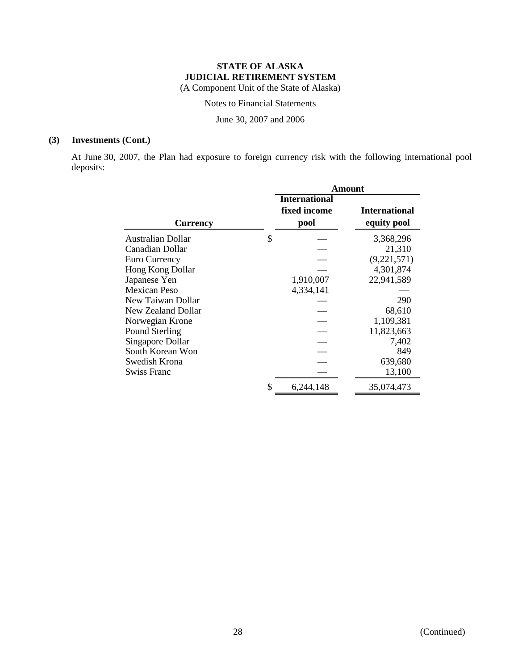Notes to Financial Statements

June 30, 2007 and 2006

# **(3) Investments (Cont.)**

At June 30, 2007, the Plan had exposure to foreign currency risk with the following international pool deposits:

|                                | <b>Amount</b>                        |                      |  |  |  |
|--------------------------------|--------------------------------------|----------------------|--|--|--|
|                                | <b>International</b><br>fixed income | <b>International</b> |  |  |  |
| <b>Currency</b>                | pool                                 | equity pool          |  |  |  |
| \$<br><b>Australian Dollar</b> |                                      | 3,368,296            |  |  |  |
| Canadian Dollar                |                                      | 21,310               |  |  |  |
| Euro Currency                  |                                      | (9,221,571)          |  |  |  |
| Hong Kong Dollar               |                                      | 4,301,874            |  |  |  |
| Japanese Yen                   | 1,910,007                            | 22,941,589           |  |  |  |
| Mexican Peso                   | 4,334,141                            |                      |  |  |  |
| New Taiwan Dollar              |                                      | 290                  |  |  |  |
| New Zealand Dollar             |                                      | 68,610               |  |  |  |
| Norwegian Krone                |                                      | 1,109,381            |  |  |  |
| Pound Sterling                 |                                      | 11,823,663           |  |  |  |
| Singapore Dollar               |                                      | 7,402                |  |  |  |
| South Korean Won               |                                      | 849                  |  |  |  |
| Swedish Krona                  |                                      | 639,680              |  |  |  |
| Swiss Franc                    |                                      | 13,100               |  |  |  |
| \$                             | 6,244,148                            | 35,074,473           |  |  |  |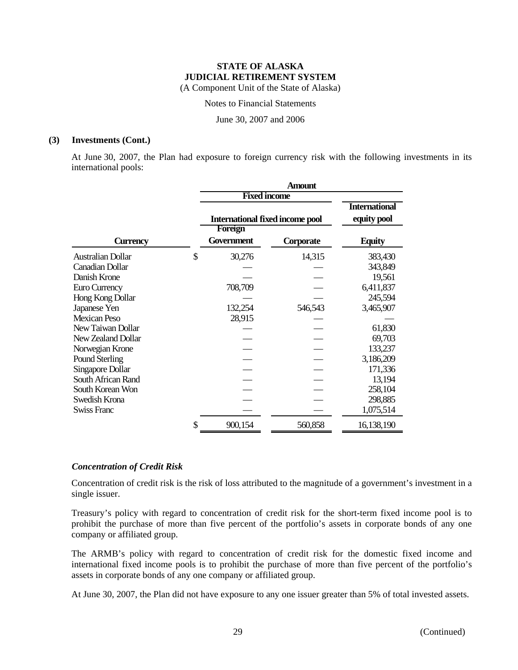Notes to Financial Statements

June 30, 2007 and 2006

#### **(3) Investments (Cont.)**

At June 30, 2007, the Plan had exposure to foreign currency risk with the following investments in its international pools:

|                          | <b>Amount</b>                          |           |                                     |  |  |  |
|--------------------------|----------------------------------------|-----------|-------------------------------------|--|--|--|
|                          | <b>Fixed income</b>                    |           |                                     |  |  |  |
|                          | <b>International fixed income pool</b> |           | <b>International</b><br>equity pool |  |  |  |
|                          | Foreign                                |           |                                     |  |  |  |
| <b>Currency</b>          | Government                             | Corporate | <b>Equity</b>                       |  |  |  |
| <b>Australian Dollar</b> | \$<br>30,276                           | 14,315    | 383,430                             |  |  |  |
| <b>Canadian Dollar</b>   |                                        |           | 343,849                             |  |  |  |
| Danish Krone             |                                        |           | 19,561                              |  |  |  |
| Euro Currency            | 708,709                                |           | 6,411,837                           |  |  |  |
| Hong Kong Dollar         |                                        |           | 245,594                             |  |  |  |
| Japanese Yen             | 132,254                                | 546,543   | 3,465,907                           |  |  |  |
| <b>Mexican Peso</b>      | 28,915                                 |           |                                     |  |  |  |
| New Taiwan Dollar        |                                        |           | 61,830                              |  |  |  |
| New Zealand Dollar       |                                        |           | 69,703                              |  |  |  |
| Norwegian Krone          |                                        |           | 133,237                             |  |  |  |
| Pound Sterling           |                                        |           | 3,186,209                           |  |  |  |
| Singapore Dollar         |                                        |           | 171,336                             |  |  |  |
| South African Rand       |                                        |           | 13,194                              |  |  |  |
| South Korean Won         |                                        |           | 258,104                             |  |  |  |
| Swedish Krona            |                                        |           | 298,885                             |  |  |  |
| Swiss Franc              |                                        |           | 1,075,514                           |  |  |  |
|                          | \$<br>900,154                          | 560,858   | 16,138,190                          |  |  |  |

#### *Concentration of Credit Risk*

Concentration of credit risk is the risk of loss attributed to the magnitude of a government's investment in a single issuer.

Treasury's policy with regard to concentration of credit risk for the short-term fixed income pool is to prohibit the purchase of more than five percent of the portfolio's assets in corporate bonds of any one company or affiliated group.

The ARMB's policy with regard to concentration of credit risk for the domestic fixed income and international fixed income pools is to prohibit the purchase of more than five percent of the portfolio's assets in corporate bonds of any one company or affiliated group.

At June 30, 2007, the Plan did not have exposure to any one issuer greater than 5% of total invested assets.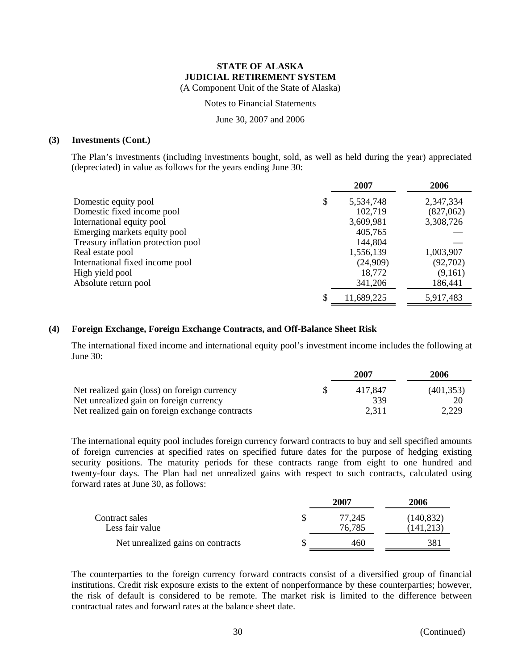Notes to Financial Statements

June 30, 2007 and 2006

#### **(3) Investments (Cont.)**

The Plan's investments (including investments bought, sold, as well as held during the year) appreciated (depreciated) in value as follows for the years ending June 30:

|                                    | 2007       | 2006      |
|------------------------------------|------------|-----------|
| Domestic equity pool<br>\$         | 5,534,748  | 2,347,334 |
| Domestic fixed income pool         | 102,719    | (827,062) |
| International equity pool          | 3,609,981  | 3,308,726 |
| Emerging markets equity pool       | 405,765    |           |
| Treasury inflation protection pool | 144,804    |           |
| Real estate pool                   | 1,556,139  | 1,003,907 |
| International fixed income pool    | (24,909)   | (92,702)  |
| High yield pool                    | 18,772     | (9,161)   |
| Absolute return pool               | 341,206    | 186,441   |
|                                    | 11,689,225 | 5,917,483 |

## **(4) Foreign Exchange, Foreign Exchange Contracts, and Off-Balance Sheet Risk**

The international fixed income and international equity pool's investment income includes the following at June 30:

|                                                 | 2007    | 2006       |
|-------------------------------------------------|---------|------------|
| Net realized gain (loss) on foreign currency    | 417.847 | (401, 353) |
| Net unrealized gain on foreign currency         | 339     | 20         |
| Net realized gain on foreign exchange contracts | 2.311   | 2,229      |

The international equity pool includes foreign currency forward contracts to buy and sell specified amounts of foreign currencies at specified rates on specified future dates for the purpose of hedging existing security positions. The maturity periods for these contracts range from eight to one hundred and twenty-four days. The Plan had net unrealized gains with respect to such contracts, calculated using forward rates at June 30, as follows:

|                                   | 2007   | 2006       |
|-----------------------------------|--------|------------|
| Contract sales                    | 77.245 | (140, 832) |
| Less fair value                   | 76,785 | (141, 213) |
| Net unrealized gains on contracts | 460    | 381        |

The counterparties to the foreign currency forward contracts consist of a diversified group of financial institutions. Credit risk exposure exists to the extent of nonperformance by these counterparties; however, the risk of default is considered to be remote. The market risk is limited to the difference between contractual rates and forward rates at the balance sheet date.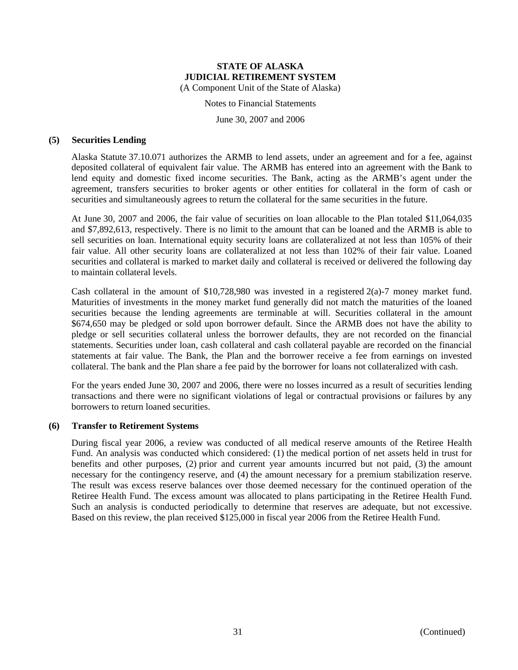Notes to Financial Statements

June 30, 2007 and 2006

#### **(5) Securities Lending**

Alaska Statute 37.10.071 authorizes the ARMB to lend assets, under an agreement and for a fee, against deposited collateral of equivalent fair value. The ARMB has entered into an agreement with the Bank to lend equity and domestic fixed income securities. The Bank, acting as the ARMB's agent under the agreement, transfers securities to broker agents or other entities for collateral in the form of cash or securities and simultaneously agrees to return the collateral for the same securities in the future.

At June 30, 2007 and 2006, the fair value of securities on loan allocable to the Plan totaled \$11,064,035 and \$7,892,613, respectively. There is no limit to the amount that can be loaned and the ARMB is able to sell securities on loan. International equity security loans are collateralized at not less than 105% of their fair value. All other security loans are collateralized at not less than 102% of their fair value. Loaned securities and collateral is marked to market daily and collateral is received or delivered the following day to maintain collateral levels.

Cash collateral in the amount of  $$10,728,980$  was invested in a registered  $2(a)-7$  money market fund. Maturities of investments in the money market fund generally did not match the maturities of the loaned securities because the lending agreements are terminable at will. Securities collateral in the amount \$674,650 may be pledged or sold upon borrower default. Since the ARMB does not have the ability to pledge or sell securities collateral unless the borrower defaults, they are not recorded on the financial statements. Securities under loan, cash collateral and cash collateral payable are recorded on the financial statements at fair value. The Bank, the Plan and the borrower receive a fee from earnings on invested collateral. The bank and the Plan share a fee paid by the borrower for loans not collateralized with cash.

For the years ended June 30, 2007 and 2006, there were no losses incurred as a result of securities lending transactions and there were no significant violations of legal or contractual provisions or failures by any borrowers to return loaned securities.

## **(6) Transfer to Retirement Systems**

During fiscal year 2006, a review was conducted of all medical reserve amounts of the Retiree Health Fund. An analysis was conducted which considered: (1) the medical portion of net assets held in trust for benefits and other purposes, (2) prior and current year amounts incurred but not paid, (3) the amount necessary for the contingency reserve, and (4) the amount necessary for a premium stabilization reserve. The result was excess reserve balances over those deemed necessary for the continued operation of the Retiree Health Fund. The excess amount was allocated to plans participating in the Retiree Health Fund. Such an analysis is conducted periodically to determine that reserves are adequate, but not excessive. Based on this review, the plan received \$125,000 in fiscal year 2006 from the Retiree Health Fund.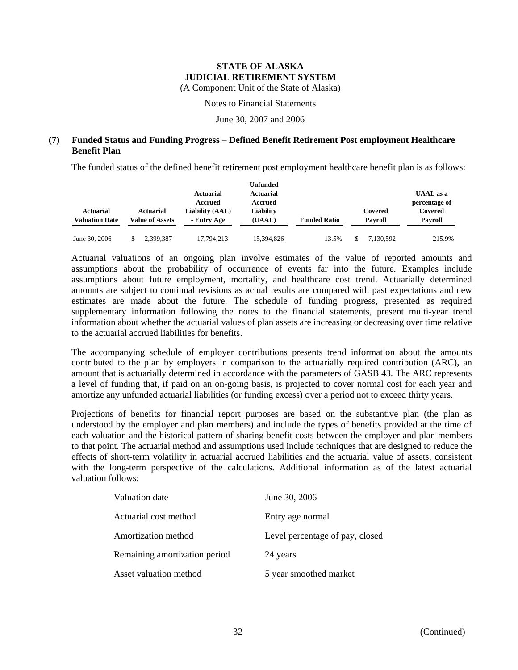(A Component Unit of the State of Alaska)

Notes to Financial Statements

June 30, 2007 and 2006

## **(7) Funded Status and Funding Progress – Defined Benefit Retirement Post employment Healthcare Benefit Plan**

The funded status of the defined benefit retirement post employment healthcare benefit plan is as follows:

|                       |                        |                             | Unfunded             |                     |           |                                   |
|-----------------------|------------------------|-----------------------------|----------------------|---------------------|-----------|-----------------------------------|
|                       |                        | <b>Actuarial</b><br>Accrued | Actuarial<br>Accrued |                     |           | <b>UAAL</b> as a<br>percentage of |
| <b>Actuarial</b>      | <b>Actuarial</b>       | Liability (AAL)             | Liability            |                     | Covered   | Covered                           |
| <b>Valuation Date</b> | <b>Value of Assets</b> | - Entry Age                 | (UAAL)               | <b>Funded Ratio</b> | Payroll   | Payroll                           |
| June 30, 2006         | 2.399.387              | 17.794.213                  | 15,394,826           | 13.5%               | 7.130.592 | 215.9%                            |

Actuarial valuations of an ongoing plan involve estimates of the value of reported amounts and assumptions about the probability of occurrence of events far into the future. Examples include assumptions about future employment, mortality, and healthcare cost trend. Actuarially determined amounts are subject to continual revisions as actual results are compared with past expectations and new estimates are made about the future. The schedule of funding progress, presented as required supplementary information following the notes to the financial statements, present multi-year trend information about whether the actuarial values of plan assets are increasing or decreasing over time relative to the actuarial accrued liabilities for benefits.

The accompanying schedule of employer contributions presents trend information about the amounts contributed to the plan by employers in comparison to the actuarially required contribution (ARC), an amount that is actuarially determined in accordance with the parameters of GASB 43. The ARC represents a level of funding that, if paid on an on-going basis, is projected to cover normal cost for each year and amortize any unfunded actuarial liabilities (or funding excess) over a period not to exceed thirty years.

Projections of benefits for financial report purposes are based on the substantive plan (the plan as understood by the employer and plan members) and include the types of benefits provided at the time of each valuation and the historical pattern of sharing benefit costs between the employer and plan members to that point. The actuarial method and assumptions used include techniques that are designed to reduce the effects of short-term volatility in actuarial accrued liabilities and the actuarial value of assets, consistent with the long-term perspective of the calculations. Additional information as of the latest actuarial valuation follows:

| Valuation date                | June 30, 2006                   |
|-------------------------------|---------------------------------|
| Actuarial cost method         | Entry age normal                |
| Amortization method           | Level percentage of pay, closed |
| Remaining amortization period | 24 years                        |
| Asset valuation method        | 5 year smoothed market          |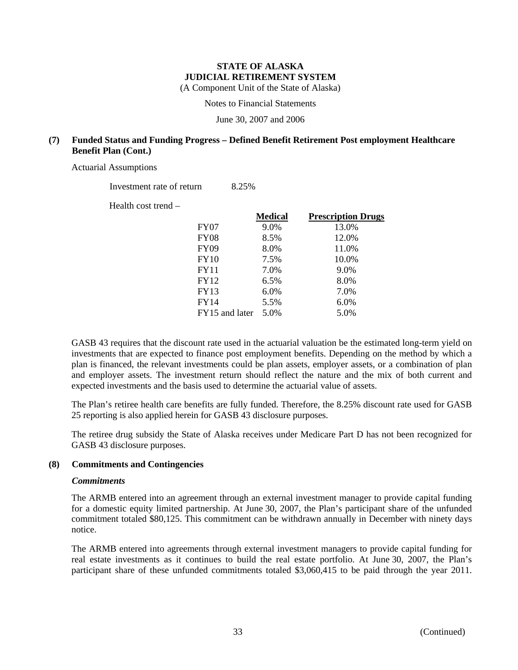(A Component Unit of the State of Alaska)

Notes to Financial Statements

June 30, 2007 and 2006

## **(7) Funded Status and Funding Progress – Defined Benefit Retirement Post employment Healthcare Benefit Plan (Cont.)**

Actuarial Assumptions

Investment rate of return 8.25%

|                | <b>Medical</b> | <b>Prescription Drugs</b> |
|----------------|----------------|---------------------------|
| FY07           | 9.0%           | 13.0%                     |
| FY08           | 8.5%           | 12.0%                     |
| <b>FY09</b>    | 8.0%           | 11.0%                     |
| FY10           | 7.5%           | 10.0%                     |
| <b>FY11</b>    | 7.0%           | 9.0%                      |
| <b>FY12</b>    | 6.5%           | 8.0%                      |
| <b>FY13</b>    | 6.0%           | 7.0%                      |
| <b>FY14</b>    | 5.5%           | 6.0%                      |
| FY15 and later | 5.0%           | 5.0%                      |

GASB 43 requires that the discount rate used in the actuarial valuation be the estimated long-term yield on investments that are expected to finance post employment benefits. Depending on the method by which a plan is financed, the relevant investments could be plan assets, employer assets, or a combination of plan and employer assets. The investment return should reflect the nature and the mix of both current and expected investments and the basis used to determine the actuarial value of assets.

The Plan's retiree health care benefits are fully funded. Therefore, the 8.25% discount rate used for GASB 25 reporting is also applied herein for GASB 43 disclosure purposes.

The retiree drug subsidy the State of Alaska receives under Medicare Part D has not been recognized for GASB 43 disclosure purposes.

## **(8) Commitments and Contingencies**

#### *Commitments*

The ARMB entered into an agreement through an external investment manager to provide capital funding for a domestic equity limited partnership. At June 30, 2007, the Plan's participant share of the unfunded commitment totaled \$80,125. This commitment can be withdrawn annually in December with ninety days notice.

The ARMB entered into agreements through external investment managers to provide capital funding for real estate investments as it continues to build the real estate portfolio. At June 30, 2007, the Plan's participant share of these unfunded commitments totaled \$3,060,415 to be paid through the year 2011.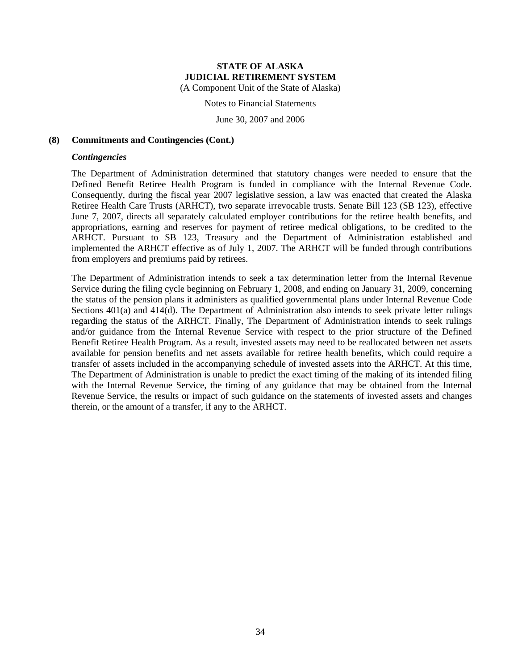Notes to Financial Statements

June 30, 2007 and 2006

#### **(8) Commitments and Contingencies (Cont.)**

#### *Contingencies*

The Department of Administration determined that statutory changes were needed to ensure that the Defined Benefit Retiree Health Program is funded in compliance with the Internal Revenue Code. Consequently, during the fiscal year 2007 legislative session, a law was enacted that created the Alaska Retiree Health Care Trusts (ARHCT), two separate irrevocable trusts. Senate Bill 123 (SB 123), effective June 7, 2007, directs all separately calculated employer contributions for the retiree health benefits, and appropriations, earning and reserves for payment of retiree medical obligations, to be credited to the ARHCT. Pursuant to SB 123, Treasury and the Department of Administration established and implemented the ARHCT effective as of July 1, 2007. The ARHCT will be funded through contributions from employers and premiums paid by retirees.

The Department of Administration intends to seek a tax determination letter from the Internal Revenue Service during the filing cycle beginning on February 1, 2008, and ending on January 31, 2009, concerning the status of the pension plans it administers as qualified governmental plans under Internal Revenue Code Sections 401(a) and 414(d). The Department of Administration also intends to seek private letter rulings regarding the status of the ARHCT. Finally, The Department of Administration intends to seek rulings and/or guidance from the Internal Revenue Service with respect to the prior structure of the Defined Benefit Retiree Health Program. As a result, invested assets may need to be reallocated between net assets available for pension benefits and net assets available for retiree health benefits, which could require a transfer of assets included in the accompanying schedule of invested assets into the ARHCT. At this time, The Department of Administration is unable to predict the exact timing of the making of its intended filing with the Internal Revenue Service, the timing of any guidance that may be obtained from the Internal Revenue Service, the results or impact of such guidance on the statements of invested assets and changes therein, or the amount of a transfer, if any to the ARHCT.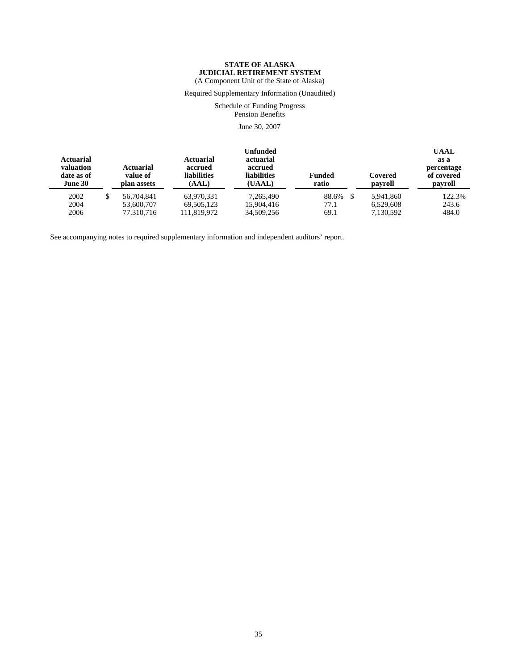Required Supplementary Information (Unaudited)

Schedule of Funding Progress Pension Benefits

June 30, 2007

| <b>Actuarial</b><br>valuation<br>date as of<br>June 30 |   | Actuarial<br>value of<br>plan assets | Actuarial<br>accrued<br><b>liabilities</b><br>(AAL) | <b>Unfunded</b><br>actuarial<br>accrued<br><b>liabilities</b><br>(UAAL) | <b>Funded</b><br>ratio | Covered<br>payroll | <b>UAAL</b><br>as a<br>percentage<br>of covered<br>payroll |
|--------------------------------------------------------|---|--------------------------------------|-----------------------------------------------------|-------------------------------------------------------------------------|------------------------|--------------------|------------------------------------------------------------|
| 2002                                                   | S | 56,704,841                           | 63.970.331                                          | 7.265.490                                                               | 88.6% \$               | 5.941.860          | 122.3%                                                     |
| 2004                                                   |   | 53,600,707                           | 69,505,123                                          | 15,904,416                                                              | 77.1                   | 6.529.608          | 243.6                                                      |
| 2006                                                   |   | 77.310.716                           | 111.819.972                                         | 34,509,256                                                              | 69.1                   | 7.130.592          | 484.0                                                      |

See accompanying notes to required supplementary information and independent auditors' report.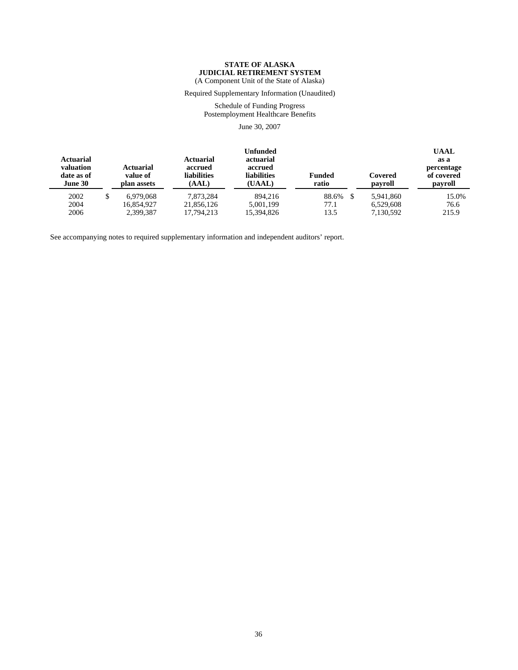Required Supplementary Information (Unaudited)

Schedule of Funding Progress Postemployment Healthcare Benefits

June 30, 2007

| <b>Actuarial</b><br>valuation<br>date as of<br>June 30 | <b>Actuarial</b><br>value of<br>plan assets | Actuarial<br>accrued<br><b>liabilities</b><br>(AAL) | Unfunded<br>actuarial<br>accrued<br><b>liabilities</b><br>(UAAL) | <b>Funded</b><br>ratio | Covered<br>payroll | <b>UAAL</b><br>as a<br>percentage<br>of covered<br>payroll |
|--------------------------------------------------------|---------------------------------------------|-----------------------------------------------------|------------------------------------------------------------------|------------------------|--------------------|------------------------------------------------------------|
| 2002                                                   | \$<br>6.979.068                             | 7.873.284                                           | 894,216                                                          | 88.6%<br>- \$          | 5,941,860          | 15.0%                                                      |
| 2004                                                   | 16.854.927                                  | 21,856,126                                          | 5.001.199                                                        | 77.1                   | 6.529.608          | 76.6                                                       |
| 2006                                                   | 2,399,387                                   | 17.794.213                                          | 15,394,826                                                       | 13.5                   | 7,130,592          | 215.9                                                      |

See accompanying notes to required supplementary information and independent auditors' report.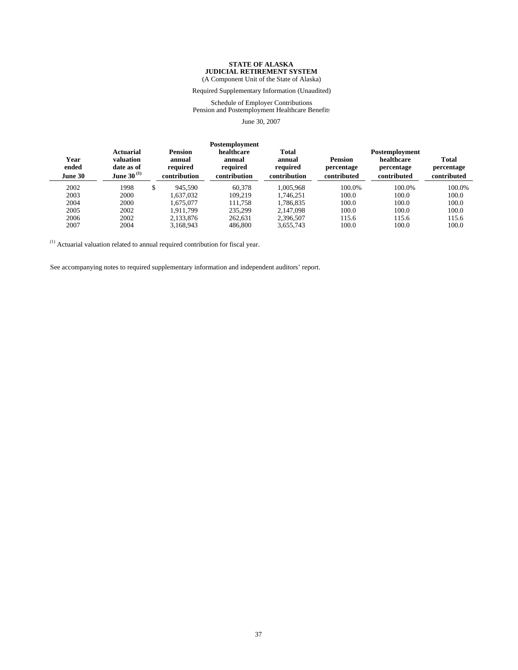(A Component Unit of the State of Alaska)

Required Supplementary Information (Unaudited)

Schedule of Employer Contributions Pension and Postemployment Healthcare Benefits

June 30, 2007

| Year<br>ended<br>June 30 | <b>Actuarial</b><br>valuation<br>date as of<br>June 30 $^{(1)}$ | <b>Pension</b><br>annual<br>required<br>contribution | Postemployment<br>healthcare<br>annual<br>required<br>contribution | <b>Total</b><br>annual<br>required<br>contribution | <b>Pension</b><br>percentage<br>contributed | Postemployment<br>healthcare<br>percentage<br>contributed | <b>Total</b><br>percentage<br>contributed |
|--------------------------|-----------------------------------------------------------------|------------------------------------------------------|--------------------------------------------------------------------|----------------------------------------------------|---------------------------------------------|-----------------------------------------------------------|-------------------------------------------|
| 2002                     | 1998                                                            | \$<br>945.590                                        | 60.378                                                             | 1.005.968                                          | 100.0%                                      | 100.0%                                                    | 100.0%                                    |
| 2003                     | 2000                                                            | 1.637.032                                            | 109.219                                                            | 1.746.251                                          | 100.0                                       | 100.0                                                     | 100.0                                     |
| 2004                     | 2000                                                            | 1.675.077                                            | 111.758                                                            | 1.786.835                                          | 100.0                                       | 100.0                                                     | 100.0                                     |
| 2005                     | 2002                                                            | 1.911.799                                            | 235,299                                                            | 2.147.098                                          | 100.0                                       | 100.0                                                     | 100.0                                     |
| 2006                     | 2002                                                            | 2,133,876                                            | 262.631                                                            | 2,396,507                                          | 115.6                                       | 115.6                                                     | 115.6                                     |
| 2007                     | 2004                                                            | 3.168.943                                            | 486,800                                                            | 3.655.743                                          | 100.0                                       | 100.0                                                     | 100.0                                     |

 $(1)$  Actuarial valuation related to annual required contribution for fiscal year.

See accompanying notes to required supplementary information and independent auditors' report.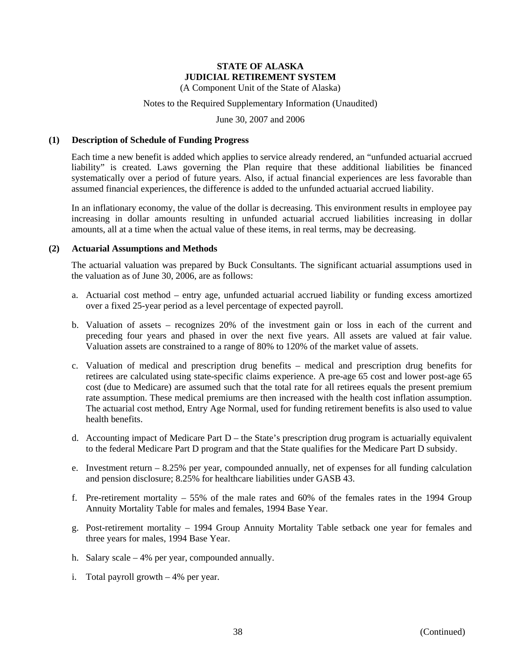(A Component Unit of the State of Alaska)

## Notes to the Required Supplementary Information (Unaudited)

June 30, 2007 and 2006

#### **(1) Description of Schedule of Funding Progress**

Each time a new benefit is added which applies to service already rendered, an "unfunded actuarial accrued liability" is created. Laws governing the Plan require that these additional liabilities be financed systematically over a period of future years. Also, if actual financial experiences are less favorable than assumed financial experiences, the difference is added to the unfunded actuarial accrued liability.

In an inflationary economy, the value of the dollar is decreasing. This environment results in employee pay increasing in dollar amounts resulting in unfunded actuarial accrued liabilities increasing in dollar amounts, all at a time when the actual value of these items, in real terms, may be decreasing.

#### **(2) Actuarial Assumptions and Methods**

The actuarial valuation was prepared by Buck Consultants. The significant actuarial assumptions used in the valuation as of June 30, 2006, are as follows:

- a. Actuarial cost method entry age, unfunded actuarial accrued liability or funding excess amortized over a fixed 25-year period as a level percentage of expected payroll.
- b. Valuation of assets recognizes 20% of the investment gain or loss in each of the current and preceding four years and phased in over the next five years. All assets are valued at fair value. Valuation assets are constrained to a range of 80% to 120% of the market value of assets.
- c. Valuation of medical and prescription drug benefits medical and prescription drug benefits for retirees are calculated using state-specific claims experience. A pre-age 65 cost and lower post-age 65 cost (due to Medicare) are assumed such that the total rate for all retirees equals the present premium rate assumption. These medical premiums are then increased with the health cost inflation assumption. The actuarial cost method, Entry Age Normal, used for funding retirement benefits is also used to value health benefits.
- d. Accounting impact of Medicare Part  $D$  the State's prescription drug program is actuarially equivalent to the federal Medicare Part D program and that the State qualifies for the Medicare Part D subsidy.
- e. Investment return 8.25% per year, compounded annually, net of expenses for all funding calculation and pension disclosure; 8.25% for healthcare liabilities under GASB 43.
- f. Pre-retirement mortality 55% of the male rates and 60% of the females rates in the 1994 Group Annuity Mortality Table for males and females, 1994 Base Year.
- g. Post-retirement mortality 1994 Group Annuity Mortality Table setback one year for females and three years for males, 1994 Base Year.
- h. Salary scale 4% per year, compounded annually.
- i. Total payroll growth 4% per year.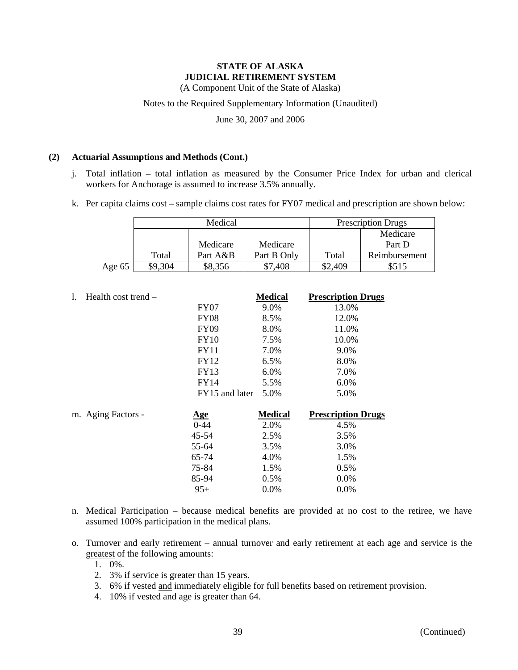(A Component Unit of the State of Alaska)

#### Notes to the Required Supplementary Information (Unaudited)

June 30, 2007 and 2006

#### **(2) Actuarial Assumptions and Methods (Cont.)**

- j. Total inflation total inflation as measured by the Consumer Price Index for urban and clerical workers for Anchorage is assumed to increase 3.5% annually.
- k. Per capita claims cost sample claims cost rates for FY07 medical and prescription are shown below:

|        | Medical |          |             | <b>Prescription Drugs</b> |               |  |
|--------|---------|----------|-------------|---------------------------|---------------|--|
|        |         |          |             |                           | Medicare      |  |
|        |         | Medicare | Medicare    |                           | Part D        |  |
|        | Total   | Part A&B | Part B Only | Total                     | Reimbursement |  |
| Age 65 | \$9,304 | \$8,356  | \$7,408     | \$2,409                   |               |  |

| $\mathbf{1}$ . | Health cost trend – |                | <b>Medical</b> | <b>Prescription Drugs</b> |
|----------------|---------------------|----------------|----------------|---------------------------|
|                |                     | <b>FY07</b>    | 9.0%           | 13.0%                     |
|                |                     | <b>FY08</b>    | 8.5%           | 12.0%                     |
|                |                     | <b>FY09</b>    | 8.0%           | 11.0%                     |
|                |                     | <b>FY10</b>    | 7.5%           | 10.0%                     |
|                |                     | FY11           | 7.0%           | 9.0%                      |
|                |                     | FY12           | 6.5%           | 8.0%                      |
|                |                     | <b>FY13</b>    | 6.0%           | 7.0%                      |
|                |                     | <b>FY14</b>    | 5.5%           | 6.0%                      |
|                |                     | FY15 and later | 5.0%           | 5.0%                      |
|                | m. Aging Factors -  | <u>Age</u>     | <b>Medical</b> | <b>Prescription Drugs</b> |
|                |                     | $0 - 44$       | 2.0%           | 4.5%                      |
|                |                     | 45-54          | 2.5%           | 3.5%                      |
|                |                     | 55-64          | 3.5%           | 3.0%                      |
|                |                     | 65-74          | 4.0%           | 1.5%                      |
|                |                     | 75-84          | 1.5%           | 0.5%                      |
|                |                     | 85-94          | 0.5%           | $0.0\%$                   |

 $95+ 0.0\%$  0.0%

- n. Medical Participation because medical benefits are provided at no cost to the retiree, we have assumed 100% participation in the medical plans.
- o. Turnover and early retirement annual turnover and early retirement at each age and service is the greatest of the following amounts:
	- 1. 0%.
	- 2. 3% if service is greater than 15 years.
	- 3. 6% if vested and immediately eligible for full benefits based on retirement provision.
	- 4. 10% if vested and age is greater than 64.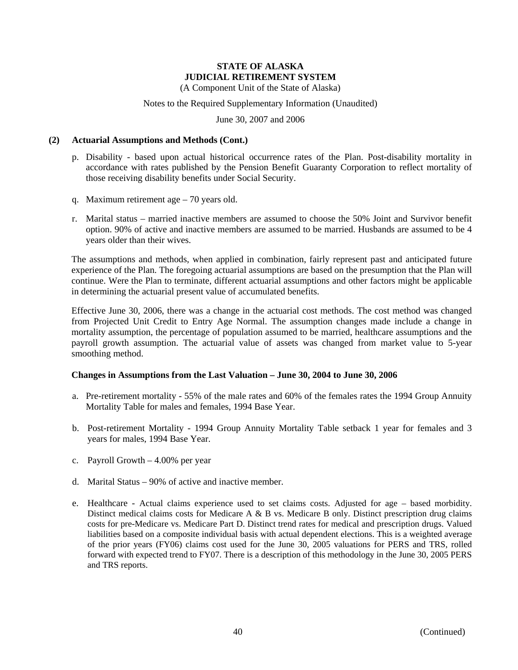(A Component Unit of the State of Alaska)

#### Notes to the Required Supplementary Information (Unaudited)

June 30, 2007 and 2006

#### **(2) Actuarial Assumptions and Methods (Cont.)**

- p. Disability based upon actual historical occurrence rates of the Plan. Post-disability mortality in accordance with rates published by the Pension Benefit Guaranty Corporation to reflect mortality of those receiving disability benefits under Social Security.
- q. Maximum retirement age 70 years old.
- r. Marital status married inactive members are assumed to choose the 50% Joint and Survivor benefit option. 90% of active and inactive members are assumed to be married. Husbands are assumed to be 4 years older than their wives.

The assumptions and methods, when applied in combination, fairly represent past and anticipated future experience of the Plan. The foregoing actuarial assumptions are based on the presumption that the Plan will continue. Were the Plan to terminate, different actuarial assumptions and other factors might be applicable in determining the actuarial present value of accumulated benefits.

Effective June 30, 2006, there was a change in the actuarial cost methods. The cost method was changed from Projected Unit Credit to Entry Age Normal. The assumption changes made include a change in mortality assumption, the percentage of population assumed to be married, healthcare assumptions and the payroll growth assumption. The actuarial value of assets was changed from market value to 5-year smoothing method.

#### **Changes in Assumptions from the Last Valuation – June 30, 2004 to June 30, 2006**

- a. Pre-retirement mortality 55% of the male rates and 60% of the females rates the 1994 Group Annuity Mortality Table for males and females, 1994 Base Year.
- b. Post-retirement Mortality 1994 Group Annuity Mortality Table setback 1 year for females and 3 years for males, 1994 Base Year.
- c. Payroll Growth 4.00% per year
- d. Marital Status 90% of active and inactive member.
- e. Healthcare Actual claims experience used to set claims costs. Adjusted for age based morbidity. Distinct medical claims costs for Medicare A & B vs. Medicare B only. Distinct prescription drug claims costs for pre-Medicare vs. Medicare Part D. Distinct trend rates for medical and prescription drugs. Valued liabilities based on a composite individual basis with actual dependent elections. This is a weighted average of the prior years (FY06) claims cost used for the June 30, 2005 valuations for PERS and TRS, rolled forward with expected trend to FY07. There is a description of this methodology in the June 30, 2005 PERS and TRS reports.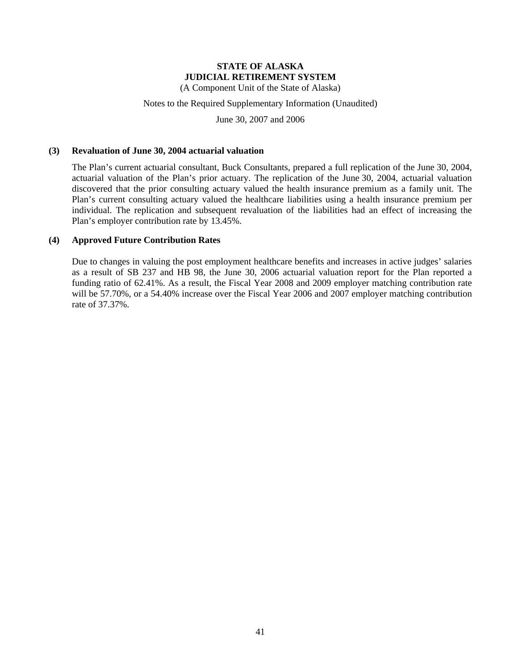(A Component Unit of the State of Alaska)

#### Notes to the Required Supplementary Information (Unaudited)

June 30, 2007 and 2006

#### **(3) Revaluation of June 30, 2004 actuarial valuation**

The Plan's current actuarial consultant, Buck Consultants, prepared a full replication of the June 30, 2004, actuarial valuation of the Plan's prior actuary. The replication of the June 30, 2004, actuarial valuation discovered that the prior consulting actuary valued the health insurance premium as a family unit. The Plan's current consulting actuary valued the healthcare liabilities using a health insurance premium per individual. The replication and subsequent revaluation of the liabilities had an effect of increasing the Plan's employer contribution rate by 13.45%.

#### **(4) Approved Future Contribution Rates**

Due to changes in valuing the post employment healthcare benefits and increases in active judges' salaries as a result of SB 237 and HB 98, the June 30, 2006 actuarial valuation report for the Plan reported a funding ratio of 62.41%. As a result, the Fiscal Year 2008 and 2009 employer matching contribution rate will be 57.70%, or a 54.40% increase over the Fiscal Year 2006 and 2007 employer matching contribution rate of 37.37%.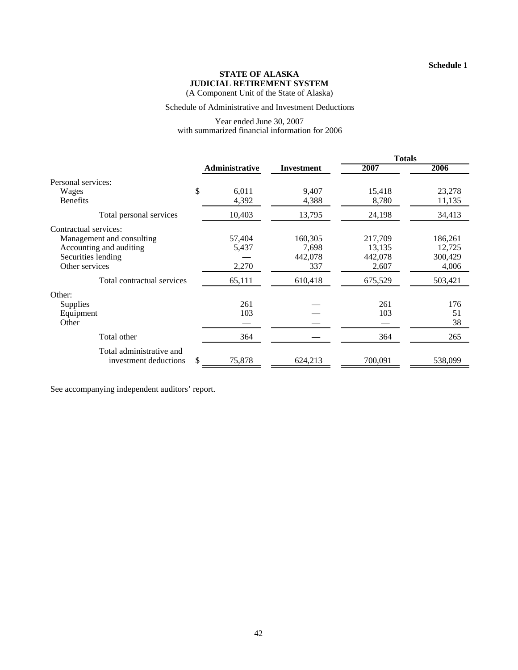(A Component Unit of the State of Alaska)

#### Schedule of Administrative and Investment Deductions

#### Year ended June 30, 2007 with summarized financial information for 2006

|                                                                                              |                          |                                    | <b>Totals</b>                         |                                       |
|----------------------------------------------------------------------------------------------|--------------------------|------------------------------------|---------------------------------------|---------------------------------------|
|                                                                                              | <b>Administrative</b>    | <b>Investment</b>                  | 2007                                  | 2006                                  |
| Personal services:                                                                           |                          |                                    |                                       |                                       |
| \$<br>Wages<br><b>Benefits</b>                                                               | 6,011<br>4,392           | 9.407<br>4,388                     | 15,418<br>8,780                       | 23,278<br>11,135                      |
| Total personal services                                                                      | 10,403                   | 13,795                             | 24,198                                | 34,413                                |
| Contractual services:                                                                        |                          |                                    |                                       |                                       |
| Management and consulting<br>Accounting and auditing<br>Securities lending<br>Other services | 57,404<br>5,437<br>2,270 | 160,305<br>7,698<br>442,078<br>337 | 217,709<br>13,135<br>442,078<br>2,607 | 186,261<br>12,725<br>300,429<br>4,006 |
| Total contractual services                                                                   | 65,111                   | 610,418                            | 675,529                               | 503,421                               |
| Other:<br><b>Supplies</b><br>Equipment<br>Other                                              | 261<br>103               |                                    | 261<br>103                            | 176<br>51<br>38                       |
| Total other                                                                                  | 364                      |                                    | 364                                   | 265                                   |
| Total administrative and<br>\$<br>investment deductions                                      | 75,878                   | 624,213                            | 700,091                               | 538,099                               |

See accompanying independent auditors' report.